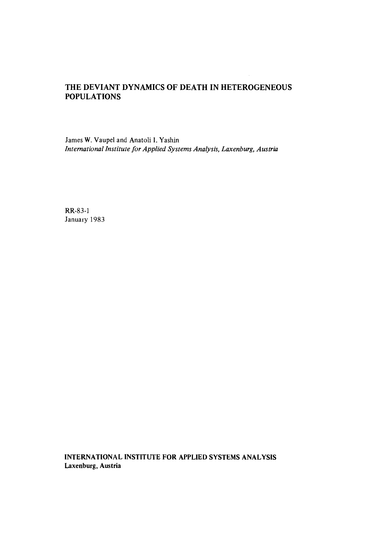# **THE DEVIANT DYNAMICS OF DEATH IN HETEROGENEOUS POPULATIONS**

**James W. Vaupel and Anatoli I. Yashin**  *International Institute for Applied Systems Analysis, Laxenburg, Austria* 

RR-83-1 **January 1983** 

**INTERNATIONAL INSTITUTE FOR APPLIED SYSTEMS ANALYSIS Laxenburg, Austria**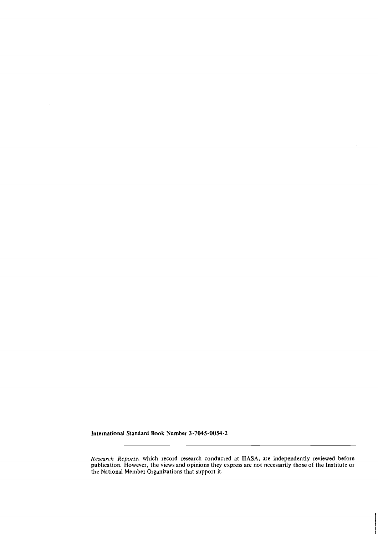**International Standard Book Number 3-7045-0054-2** 

*Research Reports,* **which record research conducked at IIASA, are independently reviewed before publication. However, the views and opinions they express are not necessarily those of the Institute or the National Member Organizations that support it.**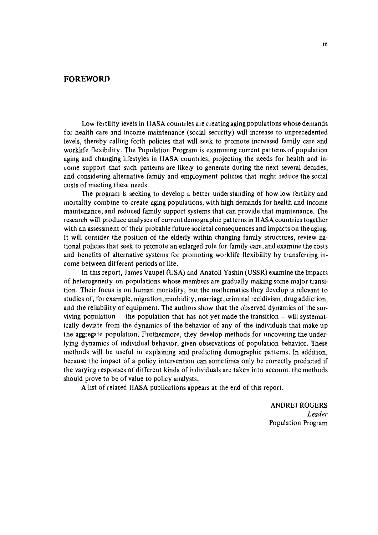### **FOREWORD**

Low fertility levels in IIASA countries are creating aging populations whose demands for health care and income maintenance (social security) will increase to unprecedented levels, thereby calling forth policies that will seek to promote increased family care and worklife flexibility. The Population Program is examining current patterns of population aging and changing lifestyles in llASA countries, projecting the needs for health and income support that such patterns are likely to generate during the next several decades, and considering alternative family and employment policies that might reduce the social costs of meeting these needs.

The program is seeking to develop a better understanding of how low fertility and mortality combine to create aging populations, with high demands for health and income maintenance, and reduced family support systems that can provide that maintenance. The research will produce analyses of current demographic patterns in llASA countries together with an assessment of their probable future societal consequences and impacts on the aging. It will consider the position of the elderly within changing family structures, review national policies that seek to promote an enlarged role for family care, and examine the costs and benefits of alternative systems for promoting worklife flexibility by transferring income between different periods of life.

In this report, James Vaupel (USA) and Anatoli Yashin (USSR) examine the impacts of heterogeneity on populations whose members are gradually making some major transition. Their focus is on human mortality, but the mathematics they develop is relevant to studies of, for example, migration, morbidity, marriage, criminal recidivism, drug addiction, and the reliability of equipment. The authors show that the observed dynamics of the surviving population  $-$  the population that has not yet made the transition  $-$  will systematically deviate from the dynamics of the behavior of any of the individuals that make up the aggregate population. Furthermore, they develop methods for uncovering the underlying dynamics of individual behavior, given observations of population behavior. These methods will be useful in explaining and predicting demographic patterns. In addition, because the impact of a policy intervention can sometimes only be correctly predicted if the varying responses of different kinds of individuals are taken into account, the methods should prove to be of value to policy analysts.

A list of related IIASA publications appears at the end of this report.

ANDRE1 ROGERS *Leader*  Population Program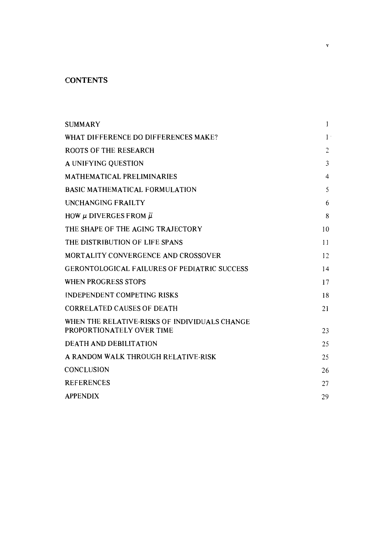# **CONTENTS**

| <b>SUMMARY</b>                                                             | 1              |
|----------------------------------------------------------------------------|----------------|
| WHAT DIFFERENCE DO DIFFERENCES MAKE?                                       | $\mathbf{1}$   |
| <b>ROOTS OF THE RESEARCH</b>                                               | $\overline{c}$ |
| A UNIFYING QUESTION                                                        | 3              |
| <b>MATHEMATICAL PRELIMINARIES</b>                                          | 4              |
| <b>BASIC MATHEMATICAL FORMULATION</b>                                      | 5              |
| <b>UNCHANGING FRAILTY</b>                                                  | 6              |
| HOW $\mu$ DIVERGES FROM $\bar{\mu}$                                        | 8              |
| THE SHAPE OF THE AGING TRAJECTORY                                          | 10             |
| THE DISTRIBUTION OF LIFE SPANS                                             | 11             |
| MORTALITY CONVERGENCE AND CROSSOVER                                        | 12             |
| <b>GERONTOLOGICAL FAILURES OF PEDIATRIC SUCCESS</b>                        | 14             |
| WHEN PROGRESS STOPS                                                        | 17             |
| <b>INDEPENDENT COMPETING RISKS</b>                                         | 18             |
| <b>CORRELATED CAUSES OF DEATH</b>                                          | 21             |
| WHEN THE RELATIVE RISKS OF INDIVIDUALS CHANGE<br>PROPORTIONATELY OVER TIME | 23             |
| <b>DEATH AND DEBILITATION</b>                                              | 25             |
| A RANDOM WALK THROUGH RELATIVE-RISK                                        | 25             |
| CONCLUSION                                                                 | 26             |
| <b>REFERENCES</b>                                                          | 27             |
| <b>APPENDIX</b>                                                            | 29             |

 $\mathbf{v}$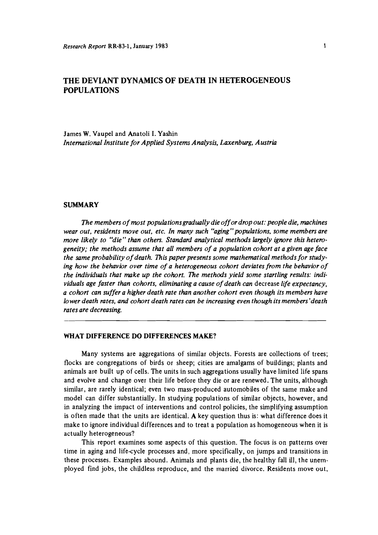## **THE DEVIANT DYNAMICS OF DEATH IN HETEROGENEOUS POPULATIONS**

James W. Vaupel and Anatoli I. Yashin *International Institute for Applied Systems Analysis, Laxenburg, Austria* 

#### **SUMMARY**

*The members of most populationsgradually die off or drop out: people die, machines wear out, residents move out, etc. In many such "aging" populations, some members are more likely to "die" than others. Standard analytical methods largely ignore this heterogeneity; the methods assume that all members of a population cohort at a given age face the same probability of death. This paper presents some mathematical methods for studying how the behavior over time of a heterogeneous cohort deviates from the behavior of the individuals that make up the cohort. The methods yield some startling results: individuals age faster than cohorts, eliminating a cause of death can* decrease *life expectancy, a cohort can suffer a higher death rate than another cohort even though its members have lower death rates, and cohort death rates can be increasing even though its members 'death rates are decreasing.* 

#### **WHAT DIFFERENCE DO DIFFERENCES MAKE?**

Many systems are aggregations of similar objects. Forests are collections of trees; flocks are congregations of birds or sheep; cities are amalgams of buildings; plants and animals are built up of cells. The units in such aggregations usually have limited life spans and evolve and change over their life before they die or are renewed. The units, although similar, are rarely identical; even two mass-produced automobiles of the same make and model can differ substantially. In studying populations of similar objects, however, and in analyzing the impact of interventions and control policies, the simplifying assumption is often made that the units are identical. **A** key question thus is: what difference does it make to ignore individual differences and to treat a population as homogeneous when it is actually heterogeneous?

This report examines some aspects of this question. The focus is on patterns over time in aging and lifecycle processes and, more specifically, on jumps and transitions in these processes. Examples abound. Animals and plants die, the healthy fall ill, the unemployed find jobs, the childless reproduce, and the married divorce. Residents move out,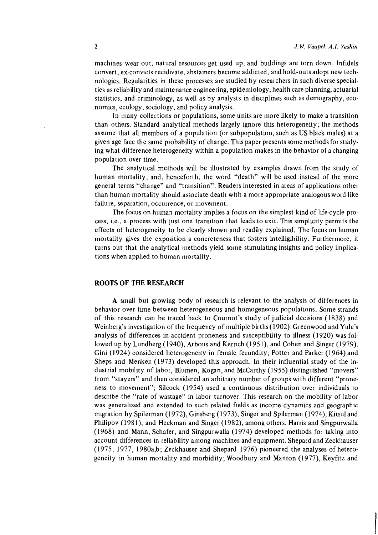machines wear out, natural resources get used up, and buildings are torn down. Infidels convert, ex-convicts recidivate, abstainers become addicted, and hold-outs adopt new technologies. Regularities in these processes are studied by researchers in such diverse specialties as reliability and maintenance engineering, epidemiology, health care planning, actuarial statistics, and criminology, as well as by analysts in disciplines such as demography, economics, ecology, sociology, and policy analysis.

In many collections or populations, some units are more likely to make a transition than others. Standard analytical methods largely ignore this heterogeneity; the methods assume that all members of a population (or subpopulation, such as US black males) at a given age face the same probability of change. This paper presents some methods for studying what difference heterogeneity within a population makes in the behavior of a changing population over time.

The analytical methods will be illustrated by examples drawn from the study of human mortality, and, henceforth, the word "death" will be used instead of the more general terms "change" and "transition". Readers interested in areas of applications other than human mortality should associate death with a more appropriate analogous word like failure, separation, occurrence, or movement.

The focus on human mortality implies a focus on the simplest kind of life-cycle process, i.e., a process with just one transition that leads to exit. This simplicity permits the effects of heterogeneity to be clearly shown and readily explained. The focus on human mortality gives the exposition a concreteness that fosters intelligibility. Furthermore, it turns out that the analytical methods yield some stimulating insights and policy implications when applied to human mortality.

#### ROOTS OF THE RESEARCH

A small but growing body of research is relevant to the analysis of differences in behavior over time between heterogeneous and homogeneous populations. Some strands of this research can be traced back to Cournot's study of judicial decisions (1838) and Weinberg's investigation of the frequency of multiple births(l902).Greenwood and Yule's analysis of differences in accident proneness and susceptibility to illness (1920) was followed up by Lundberg (l940), Arbous and Kerrich (l951), and Cohen and Singer (1979). Gini (1924) considered heterogeneity in female fecundity; Potter and Parker (1964) and Sheps and Menken (1973) developed this approach. In their influential study of the industrial mobility of labor, Blumen, Kogan, and McCarthy (1955) distinguished "movers" from "stayers" and then considered an arbitrary number of groups with different "proneness to movement"; Silcock (1954) used a continuous distribution over individuals to describe the "rate of wastage" in labor turnover. This research on the mobility of labor was generalized and extended to such related fields as income dynamics and geographic migration by Spilerman (1972), Ginsberg (1973), Singer and Spilerman (1974), Kitsul and Philipov (1981), and Heckman and Singer (1982), among others. Harris and Singpurwalla (1968) and Mann, Schafer, and Singpurwalla (1974) developed methods for taking into account differences in reliability among machines and equipment. Shepard and Zeckhauser (1 975, 1977, 1980a,b; Zeckhauser and Shepard 1976) pioneered the analyses of heterogeneity in human mortality and morbidity; Woodbury and Manton (1977), Keyfitz and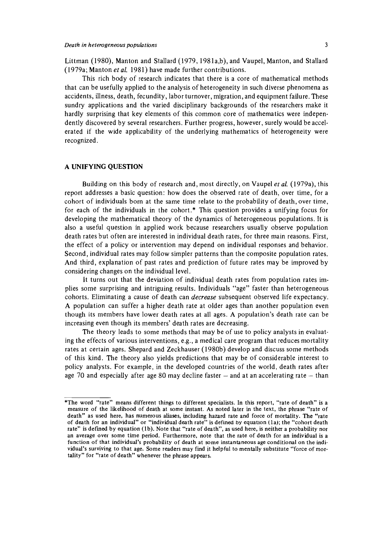Littman (1980), Manton and Stallard (1979, 1981a,b), and Vaupel, Manton, and Stallard (1979a; Manton *et* al. 1981) have made further contributions.

This rich body of research indicates that there is a core of mathematical methods that can be usefully applied to the analysis of heterogeneity in such diverse phenomena as accidents, illness, death, fecundity, labor turnover, migration, and equipment failure. These sundry applications and the varied disciplinary backgrounds of the researchers make it hardly surprising that key elements of this common core of mathematics were independently discovered by several researchers. Further progress, however, surely would be accelerated if the wide applicability of the underlying mathematics of heterogeneity were recognized.

#### **A UNIFYING QUESTION**

Building on this body of research and, most directly, on Vaupel *et* al. (1979a), this report addresses a basic question: how does the observed rate of death, over time, for a cohort of individuals born at the same time relate to the probability of death, over time, for each of the individuals in the cohort.\* This question provides a unifying focus for developing the mathematical theory of the dynamics of heterogeneous populations. It is also a useful question in applied work because researchers usually observe population death rates but often are interested in individual death rates, for three main reasons. First, the effect of a policy or intervention may depend on individual responses and behavior. Second, individual rates may follow simpler patterns than the composite population rates. And third, explanation of past rates and prediction of future rates may be improved by considering changes on the individual level.

It turns out that the deviation of individual death rates from population rates implies some surprising and intriguing results. Individuals "age" faster than heterogeneous cohorts. Eliminating a cause of death can *decrease* subsequent observed life expectancy. A population can suffer a higher death rate at older ages than another population even though its members have lower death rates at all ages. A population's death rate can be increasing even though its members' death rates are decreasing.

The theory leads to some methods that may be of use to policy analysts in evaluating the effects of various interventions, e.g., a medical care program that reduces mortality rates at certain ages. Shepard and Zeckhauser (1980b) develop and discuss some methods of this kind. The theory also yields predictions that may be of considerable interest to policy analysts. For example, in the developed countries of the world, death rates after age 70 and especially after age 80 may decline faster  $-$  and at an accelerating rate  $-$  than

<sup>\*</sup>The word "rate" means different things to different specialists. In this report, "rate of death" is a measure of the likelihood of death at some instant. As noted later in the text, the phrase "rate of death" as used here, has numerous aliases, including hazard rate and force of mortality. The "rate of death for an individual" or "individual death rate" is deflned by equation (la); the "cohort death rate" is defined by equation (lb). Note that "rate of death", as used here, is neither a probability nor an average over some time period. Furthermore, note that the rate of death for an individual is a function of that individual's probability of death at some instantaneous age conditional on the individual's surviving to that age. Some readers may find it helpful to mentally substitute "force of mortality" for "rate of death" whenever the phrase appears.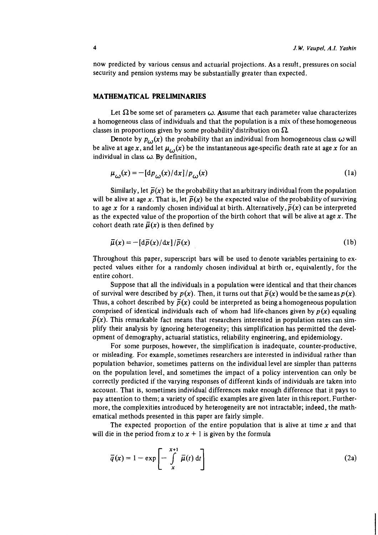now predicted by various census and actuarial projections. As a result, pressures on social security and pension systems may be substantially greater than expected.

#### MATHEMATICAL PRELIMINARIES

Let  $\Omega$  be some set of parameters  $\omega$ . Assume that each parameter value characterizes a homogeneous class of individuals and that the population is a mix of these homogeneous classes in proportions given by some probability distribution on  $\Omega$ .

Denote by  $p_{\alpha}(x)$  the probability that an individual from homogeneous class  $\omega$  will be alive at age x, and let  $\mu_{\omega}(x)$  be the instantaneous age-specific death rate at age x for an individual in class  $\omega$ . By definition,

$$
\mu_{\omega}(x) = -\left[\frac{d p_{\omega}(x)}{dx}\right] / p_{\omega}(x) \tag{1a}
$$

Similarly, let  $\bar{p}(x)$  be the probability that an arbitrary individual from the population will be alive at age x. That is, let  $\bar{p}(x)$  be the expected value of the probability of surviving to age x for a randomly chosen individual at birth. Alternatively,  $\bar{p}(x)$  can be interpreted as the expected value of the proportion of the birth cohort that will be alive at age **x.** The cohort death rate  $\bar{\mu}(x)$  is then defined by

$$
\bar{\mu}(x) = -\left[\frac{d\bar{p}(x)}{dx}\right] / \bar{p}(x) \tag{1b}
$$

Throughout this paper, superscript bars will be used to denote variables pertaining to expected values either for a randomly chosen individual at birth or, equivalently, for the entire cohort.

Suppose that all the individuals in a population were identical and that their chances of survival were described by  $p(x)$ . Then, it turns out that  $\overline{p}(x)$  would be the same as  $p(x)$ . Thus, a cohort described by  $\bar{p}(x)$  could be interpreted as being a homogeneous population comprised of identical individuals each of whom had life-chances given by  $p(x)$  equaling  $\bar{p}(x)$ . This remarkable fact means that researchers interested in population rates can simplify their analysis by ignoring heterogeneity; this simplification has permitted the development of demography, actuarial statistics, reliability engineering, and epidemiology.

For some purposes, however, the simplification is inadequate, counter-productive, or misleading. For example, sometimes researchers are interested in individual rather than population behavior, sometimes patterns on the individual level are simpler than patterns on the population level, and sometimes the impact of a policy intervention can only be correctly predicted if the varying responses of different kinds of individuals are taken into account. That is, sometimes individual differences make enough difference that it pays to pay attention to them; a variety of specific examples are given later inthisreport. Furthermore, the complexities introduced by heterogeneity are not intractable; indeed, the mathematical methods presented in this paper are fairly simple.

The expected proportion of the entire population that is alive at time **x** and that will die in the period from  $x$  to  $x + 1$  is given by the formula

$$
\overline{q}(x) = 1 - \exp\left[-\int\limits_{x}^{x+1} \overline{\mu}(t) dt\right]
$$
 (2a)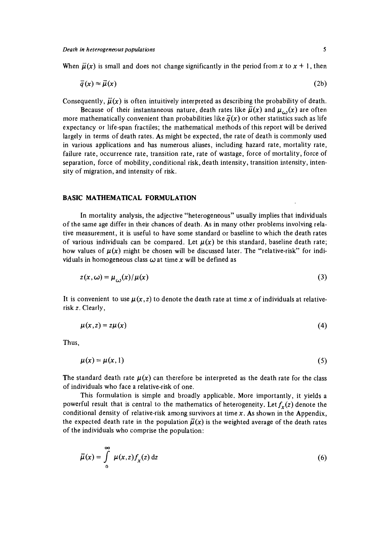When  $\vec{\mu}(x)$  is small and does not change significantly in the period from x to  $x + 1$ , then

$$
\bar{q}(x) \approx \bar{\mu}(x) \tag{2b}
$$

Consequently,  $\overline{\mu}(x)$  is often intuitively interpreted as describing the probability of death.

Because of their instantaneous nature, death rates like  $\bar{\mu}(x)$  and  $\mu_{c}(\bar{x})$  are often more mathematically convenient than probabilities like  $\tilde{q}(x)$  or other statistics such as life expectancy or life-span fractiles; the mathematical methods of this report will be derived largely in terms of death rates. As might be expected, the rate of death is commonly used in various applications and has numerous aliases, including hazard rate, mortality rate, failure rate, occurrence rate, transition rate, rate of wastage, force of mortality, force of separation, force of mobility, conditional risk, death intensity, transition intensity, intensity of migration, and intensity of risk.

#### BASIC MATHEMATICAL FORMULATION

In mortality analysis, the adjective "heterogeneous" usually implies that individuals of the same age differ in their chances of death. As in many other problems involving relative measurement, it is useful to have some standard or baseline to which the death rates of various individuals can be compared. Let  $\mu(x)$  be this standard, baseline death rate; how values of  $\mu(x)$  might be chosen will be discussed later. The "relative-risk" for individuals in homogeneous class  $\omega$  at time x will be defined as

$$
z(x,\omega) = \mu_{\omega}(x)/\mu(x) \tag{3}
$$

It is convenient to use  $\mu(x, z)$  to denote the death rate at time x of individuals at relativerisk **z.** Clearly,

$$
\mu(x, z) = z\mu(x) \tag{4}
$$

Thus,

$$
\mu(x) = \mu(x, 1) \tag{5}
$$

The standard death rate  $\mu(x)$  can therefore be interpreted as the death rate for the class of individuals who face a relative-risk of one.

This formulation is simple and broadly applicable. More importantly, it yields a powerful result that is central to the mathematics of heterogeneity. Let  $f_x(z)$  denote the conditional density of relative-risk among survivors at time **x.** As shown in the Appendix, the expected death rate in the population  $\vec{\mu}(x)$  is the weighted average of the death rates of the individuals who comprise the population:

$$
\overline{\mu}(x) = \int_{0}^{\infty} \mu(x, z) f_{x}(z) dz
$$
\n(6)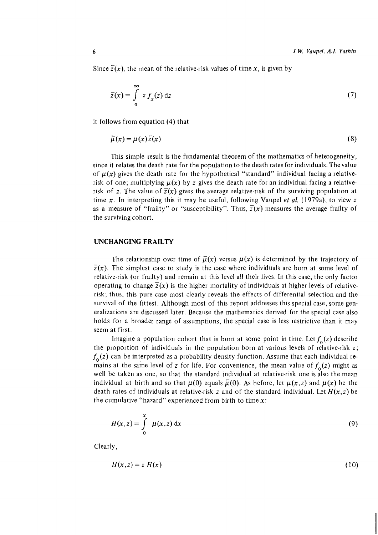Since  $\overline{z}(x)$ , the mean of the relative-risk values of time x, is given by

$$
\overline{z}(x) = \int_{0}^{\infty} z f_{x}(z) dz
$$
 (7)

it follows from equation (4) that

$$
\overline{\mu}(x) = \mu(x)\overline{z}(x) \tag{8}
$$

This simple result is the fundamental theorem of the mathematics of heterogeneity, since it relates the death rate for the population to the death rates for individuals. The value of  $\mu(x)$  gives the death rate for the hypothetical "standard" individual facing a relativerisk of one; multiplying  $\mu(x)$  by z gives the death rate for an individual facing a relativerisk of z. The value of  $\overline{z}(x)$  gives the average relative-risk of the surviving population at time x. In interpreting this it may be useful, following Vaupel *et* al. (1979a), to view z as a measure of "frailty" or "susceptibility". Thus,  $\bar{z}(x)$  measures the average frailty of the surviving cohort.

#### **UNCHANGING FRAILTY**

The relationship over time of  $\bar{\mu}(x)$  versus  $\mu(x)$  is determined by the trajectory of  $\overline{z}(x)$ . The simplest case to study is the case where individuals are born at some level of relative-risk (or frailty) and remain at this level all their lives. In this case, the only factor operating to change  $\overline{z}(x)$  is the higher mortality of individuals at higher levels of relativerisk; thus, this pure case most clearly reveals the effects of differential selection and the survival of the fittest. Although most of this report addresses this special case, some generalizations are discussed later. Because the mathematics derived for the special case also holds for a broader range of assumptions, the special case is less restrictive than it may seem at first.

Imagine a population cohort that is born at some point in time. Let  $f_0(z)$  describe the proportion of individuals in the population born at various levels of relative-risk z;  $f_{0}(z)$  can be interpreted as a probability density function. Assume that each individual remains at the same level of z for life. For convenience, the mean value of  $f_0(z)$  might as well be taken as one, so that the standard individual at relative-risk one is also the mean individual at birth and so that  $\mu(0)$  equals  $\bar{\mu}(0)$ . As before, let  $\mu(x, z)$  and  $\mu(x)$  be the death rates of individuals at relative-risk z and of the standard individual. Let  $H(x, z)$  be the cumulative "hazard" experienced from birth to time  $x$ :

$$
H(x,z) = \int_{0}^{x} \mu(x,z) dx
$$
 (9)

Clearly,

$$
H(x,z) = z H(x) \tag{10}
$$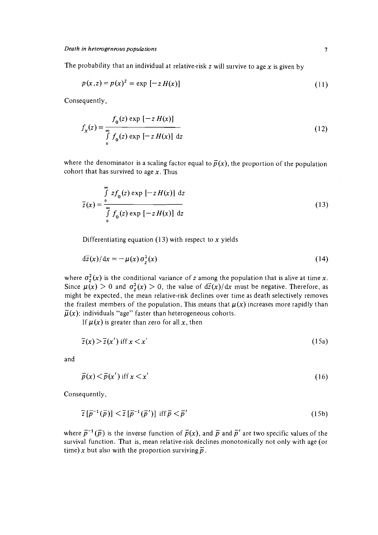The probability that an individual at relative-risk z will survive to age x is given by

$$
p(x,z) = p(x)^{z} = \exp[-z H(x)]
$$
 (11)

Consequently,

$$
f_x(z) = \frac{f_0(z) \exp[-z H(x)]}{\int_0^{\infty} f_0(z) \exp[-z H(x)] dz}
$$
 (12)

where the denominator is a scaling factor equal to  $\bar{p}(x)$ , the proportion of the population cohort that has survived to age  $x$ . Thus

$$
\overline{z}(x) = \int_{0}^{\infty} z f_0(z) \exp\left[-z H(x)\right] dz
$$
\n
$$
\overline{z}(x) = \int_{0}^{\infty} f_0(z) \exp\left[-z H(x)\right] dz
$$
\n(13)

Differentiating equation (13) with respect to  $x$  yields

$$
d\bar{z}(x)/dx = -\mu(x)\sigma_z^2(x) \tag{14}
$$

where  $\sigma_z^2(x)$  is the conditional variance of z among the population that is alive at time x. Since  $\mu(x) > 0$  and  $\sigma_z^2(x) > 0$ , the value of  $d\overline{z}(x)/dx$  must be negative. Therefore, as might be expected, the mean relative-risk declines over time as death selectively removes the frailest members of the population. This means that  $\mu(x)$  increases more rapidly than  $\overline{\mu}(x)$ : individuals "age" faster than heterogeneous cohorts.

If  $\mu(x)$  is greater than zero for all x, then

$$
\overline{z}(x) > \overline{z}(x') \text{ iff } x < x' \tag{15a}
$$

and

$$
\bar{p}(x) < \bar{p}(x') \text{ iff } x < x' \tag{16}
$$

Consequently,

$$
\overline{z}\left[\overline{p}^{-1}(\overline{p})\right] < \overline{z}\left[\overline{p}^{-1}(\overline{p}')\right] \text{ iff } \overline{p} < \overline{p}' \tag{15b}
$$

where  $\bar{p}^{-1}(\bar{p})$  is the inverse function of  $\bar{p}(x)$ , and  $\bar{p}$  and  $\bar{p}'$  are two specific values of the survival function. That is, mean relative-risk declines monotonically not only with age (or time) x but also with the proportion surviving  $\vec{p}$ .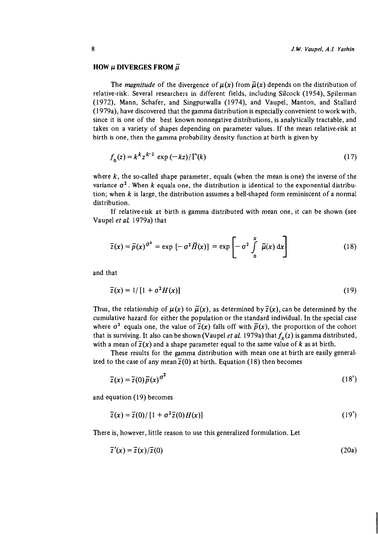### HOW  $\mu$  DIVERGES FROM  $\vec{\mu}$

The *magnitude* of the divergence of  $\mu(x)$  from  $\bar{\mu}(x)$  depends on the distribution of relative-risk. Several researchers in different fields, including Silcock (1954), Spilerman (1972), Mann, Schafer, and Singpurwalla (1974), and Vaupel, Manton, and Stallard (1 979a), have discovered that the gamma distribution is especially convenient to work with, since it is one of the best known nonnegative distributions, is analytically tractable, and takes on a variety of shapes depending on parameter values. If the mean relative-risk at birth is one, then the gamma probability density function at birth is given by

$$
f_0(z) = k^k z^{k-1} \exp\left(-kz\right) / \Gamma(k) \tag{17}
$$

where  $k$ , the so-called shape parameter, equals (when the mean is one) the inverse of the variance  $\sigma^2$ . When k equals one, the distribution is identical to the exponential distribution; when  $k$  is large, the distribution assumes a bell-shaped form reminiscent of a normal distribution.

If relative-risk at birth is gamma distributed with mean one, it can be shown (see Vaupel *et aL* 1979a) that

$$
\overline{z}(x) = \overline{p}(x)^{\sigma^2} = \exp\left[-\sigma^2 \overline{H}(x)\right] = \exp\left[-\sigma^2 \int_0^x \overline{\mu}(x) dx\right]
$$
(18)

and that

$$
\overline{z}(x) = 1/\left[1 + \sigma^2 H(x)\right] \tag{19}
$$

Thus, the relationship of  $\mu(x)$  to  $\bar{\mu}(x)$ , as determined by  $\bar{z}(x)$ , can be determined by the cumulative hazard for either the population or the standard individual. In the special case where  $\sigma^2$  equals one, the value of  $\overline{z}(x)$  falls off with  $\overline{p}(x)$ , the proportion of the cohort that is surviving. It also can be shown (Vaupel *et al.* 1979a) that  $f_x(z)$  is gamma distributed, with a mean of  $\overline{z}(x)$  and a shape parameter equal to the same value of k as at birth.

These results for the gamma distribution with mean one at birth are easily generalized to the case of any mean  $\overline{z}(0)$  at birth. Equation (18) then becomes

$$
\overline{z}(x) = \overline{z}(0)\overline{p}(x)^{\sigma^2} \tag{18'}
$$

and equation  $(19)$  becomes

$$
\overline{z}(x) = \overline{z}(0)/\left[1 + \sigma^2 \overline{z}(0)H(x)\right] \tag{19'}
$$

There is, however, little reason to use this generalized formulation. Let

$$
\overline{z}'(x) = \overline{z}(x)/\overline{z}(0) \tag{20a}
$$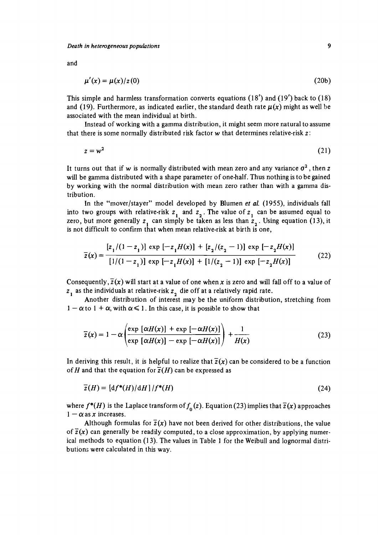and

$$
\mu'(x) = \mu(x)/z(0) \tag{20b}
$$

This simple and harmless transformation converts equations *(1 8')* and *(19')* back to *(18)*  and (19). Furthermore, as indicated earlier, the standard death rate  $\mu(x)$  might as well be associated with the mean individual at birth.

Instead of working with a gamma distribution, it might seem more natural to assume that there is some normally distributed risk factor w that determines relative-risk *z:* 

$$
z = w^2 \tag{21}
$$

It turns out that if w is normally distributed with mean zero and any variance  $\sigma^2$ , then *z* will be gamma distributed with a shape parameter of one-half. Thus nothing is to be gained by working with the normal distribution with mean zero rather than with a gamma distribution.

In the "mover/stayer" model developed by Blumen **er** *al. (1955),* individuals fall into two groups with relative-risk *z,* and *z,* . The value of *z,* can be assumed equal to zero, but more generally  $z<sub>1</sub>$  can simply be taken as less than  $z<sub>2</sub>$ . Using equation (13), it is not difficult to confirm that when mean relative-risk at birth is one,

$$
\overline{z}(x) = \frac{[z_1/(1-z_1)] \exp[-z_1H(x)] + [z_2/(z_2-1)] \exp[-z_2H(x)]}{[1/(1-z_1)] \exp[-z_1H(x)] + [1/(z_2-1)] \exp[-z_2H(x)]}
$$
(22)

Consequently,  $\overline{z}(x)$  will start at a value of one when x is zero and will fall off to a value of *z,* as the individuals at relative-risk *z,* die off at a relatively rapid rate.

Another distribution of interest may be the uniform distribution, stretching from  $1 - \alpha$  to  $1 + \alpha$ , with  $\alpha \leq 1$ . In this case, it is possible to show that

$$
\overline{z}(x) = 1 - \alpha \left( \frac{\exp \left[ \alpha H(x) \right] + \exp \left[ -\alpha H(x) \right]}{\exp \left[ \alpha H(x) \right] - \exp \left[ -\alpha H(x) \right]} \right) + \frac{1}{H(x)}
$$
(23)

In deriving this result, it is helpful to realize that  $\overline{z}(x)$  can be considered to be a function of *H* and that the equation for  $\overline{z}(H)$  can be expressed as

$$
\overline{z}(H) = \left[ \mathrm{d}f^*(H) / \mathrm{d}H \right] / f^*(H) \tag{24}
$$

where  $f^*(H)$  is the Laplace transform of  $f_0(z)$ . Equation (23) implies that  $\overline{z}(x)$  approaches  $1 - \alpha$  as x increases.

Although formulas for  $\overline{z}(x)$  have not been derived for other distributions, the value of  $\overline{z}(x)$  can generally be readily computed, to a close approximation, by applying numerical methods to equation *(1 3).* The values in Table *1* for the Weibull and lognormal distributions were calculated in this way.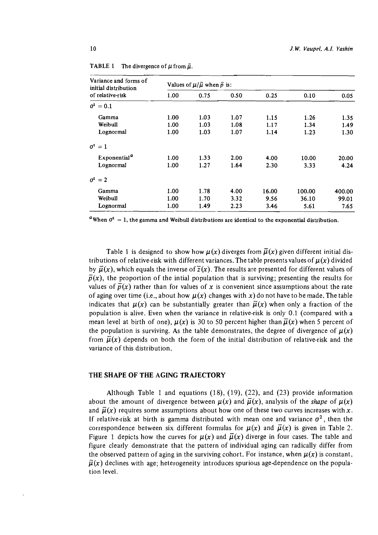| Variance and forms of<br>initial distribution | Values of $\mu/\bar{\mu}$ when $\bar{p}$ is: |      |      |       |        |        |
|-----------------------------------------------|----------------------------------------------|------|------|-------|--------|--------|
| of relative-risk                              | 1.00                                         | 0.75 | 0.50 | 0.25  | 0.10   | 0.05   |
| $q^2 = 0.1$                                   |                                              |      |      |       |        |        |
| Gamma                                         | 1.00                                         | 1.03 | 1.07 | 1.15  | 1.26   | 1.35   |
| Weibull                                       | 1.00                                         | 1.03 | 1.08 | 1.17  | 1.34   | 1.49   |
| Lognormal                                     | 1.00                                         | 1.03 | 1.07 | 1.14  | 1.23   | 1.30   |
| $\sigma^2 = 1$                                |                                              |      |      |       |        |        |
| Exponential <sup><math>a</math></sup>         | 1.00                                         | 1.33 | 2.00 | 4.00  | 10.00  | 20.00  |
| Lognormal                                     | 1.00                                         | 1.27 | 1.64 | 2.30  | 3.33   | 4.24   |
| $\sigma^2=2$                                  |                                              |      |      |       |        |        |
| Gamma                                         | 1.00                                         | 1.78 | 4.00 | 16.00 | 100.00 | 400.00 |
| Weibull                                       | 1.00                                         | 1.70 | 3.32 | 9.56  | 36.10  | 99.01  |
| Lognormal                                     | 1.00                                         | 1.49 | 2.23 | 3.46  | 5.61   | 7.65   |

**TABLE 1** The divergence of  $\mu$  from  $\bar{\mu}$ .

<sup>*a*</sup> When  $\sigma^2 = 1$ , the gamma and Weibull distributions are identical to the exponential distribution.

Table 1 is designed to show how  $\mu(x)$  diverges from  $\bar{\mu}(x)$  given different initial distributions of relative-risk with different variances. The table presents values of  $\mu(x)$  divided by  $\vec{\mu}(x)$ , which equals the inverse of  $\overline{z}(x)$ . The results are presented for different values of  $\bar{p}(x)$ , the proportion of the intial population that is surviving; presenting the results for values of  $\bar{p}(x)$  rather than for values of x is convenient since assumptions about the rate of aging over time (i.e., about how  $\mu(x)$  changes with x) do not have to be made. The table indicates that  $\mu(x)$  can be substantially greater than  $\bar{\mu}(x)$  when only a fraction of the population is alive. Even when the variance in relative-risk is only 0.1 (compared with a mean level at birth of one),  $\mu(x)$  is 30 to 50 percent higher than  $\bar{\mu}(x)$  when 5 percent of the population is surviving. As the table demonstrates, the degree of divergence of  $\mu(x)$ from  $\bar{\mu}(x)$  depends on both the form of the initial distribution of relative-risk and the variance of this distribution.

### THE SHAPE OF THE AGING TRAJECTORY

Although Table 1 and equations (18), (19), (22), and (23) provide information about the amount of divergence between  $\mu(x)$  and  $\bar{\mu}(x)$ , analysis of the *shape* of  $\mu(x)$ and  $\bar{\mu}(x)$  requires some assumptions about how one of these two curves increases with x. If relative-risk at birth is gamma distributed with mean one and variance  $\sigma^2$ , then the correspondence between six different formulas for  $\mu(x)$  and  $\bar{\mu}(x)$  is given in Table 2. Figure 1 depicts how the curves for  $\mu(x)$  and  $\bar{\mu}(x)$  diverge in four cases. The table and figure clearly demonstrate that the pattern of individual aging can radically differ from the observed pattern of aging in the surviving cohort. For instance, when  $\mu(x)$  is constant,  $\bar{\mu}(x)$  declines with age; heterogeneity introduces spurious age-dependence on the population level.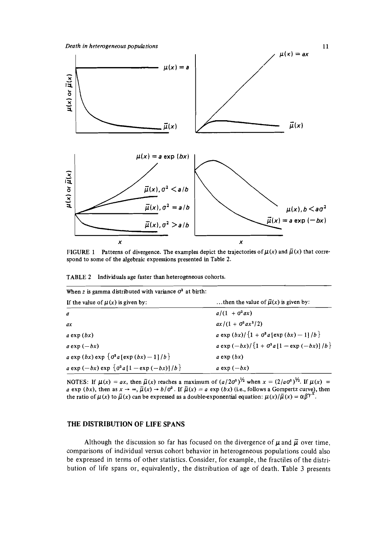Death **in** heterogeneous populations



FIGURE 1 Patterns of divergence. The examples depict the trajectories of  $\mu(x)$  and  $\bar{\mu}(x)$  that correspond to some of the algebraic expressions presented in Table 2.

TABLE 2 Individuals age faster than heterogeneous cohorts.

| When z is gamma distributed with variance $\sigma^2$ at birth: |                                                  |  |  |  |
|----------------------------------------------------------------|--------------------------------------------------|--|--|--|
| If the value of $\mu(x)$ is given by:                          | then the value of $\bar{\mu}(x)$ is given by:    |  |  |  |
| $\boldsymbol{a}$                                               | $a/(1 + \sigma^2 a x)$                           |  |  |  |
| ax                                                             | $ax/(1 + \sigma^2 a x^2/2)$                      |  |  |  |
| $a \exp(bx)$                                                   | a exp $(bx)/[1 + \sigma^2 a \cdot (bx) - 1]/b$   |  |  |  |
| $a \exp(-bx)$                                                  | $a \exp(-bx)/[1 + \sigma^2 a [1 - \exp(-bx)]/b]$ |  |  |  |
| a exp (bx) exp $\{\sigma^2 a$ [exp (bx) - 1]/b}                | $a$ exp $(bx)$                                   |  |  |  |
| a exp $(-bx)$ exp $\{\sigma^2 a [1 - \exp(-bx)]/b\}$           | a exp $(-bx)$                                    |  |  |  |

NOTES: If  $\mu(x) = ax$ , then  $\bar{\mu}(x)$  reaches a maximum of  $(a/2\sigma^2)^{1/2}$  when  $x = (2/a\sigma^2)^{1/2}$ . If  $\mu(x) = a \exp(bx)$ , then as  $x \to \infty$ ,  $\bar{\mu}(x) \to b/\sigma^2$ . If  $\bar{\mu}(x) = a \exp(bx)$  (i.e., follows a Gompettz curve), then the ratio of  $\mu(x)$  to  $\bar{\mu}(x)$  can be expressed as a double-exponential equation:  $\mu(x)/\bar{\mu}(x) = \alpha \beta^{\gamma x}$ .

#### THE DISTRIBUTION OF LIFE SPANS

Although the discussion so far has focused on the divergence of  $\mu$  and  $\bar{\mu}$  over time, comparisons of individual versus cohort behavior in heterogeneous populations could also be expressed in terms of other statistics. Consider, for example, the fractiles of the distribution of life spans or, equivalently, the distribution of age of death. Table 3 presents

11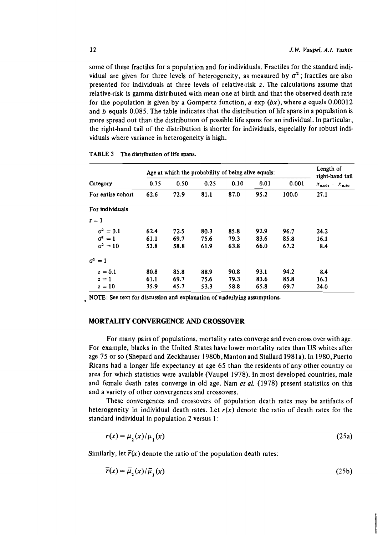some of these fractiles for a population and for individuals. Fractiles for the standard individual are given for three levels of heterogeneity, as measured by  $\sigma^2$ ; fractiles are also presented for individuals at three levels of relative-risk *z.* The calculations assume that relative-risk is gamma distributed with mean one at birth and that the observed death rate for the population is given by a Gompertz function,  $a \exp (bx)$ , where a equals 0.00012 and  $b$  equals 0.085. The table indicates that the distribution of life spans in a population is more spread out than the distribution of possible life spans for an individual. In particular, the right-hand tail of the distribution is shorter for individuals, especially for robust individuals where variance in heterogeneity is high.

|                    | Age at which the probability of being alive equals: |      |      |      |      | Length of<br>right-hand tail |                        |
|--------------------|-----------------------------------------------------|------|------|------|------|------------------------------|------------------------|
| Category           | 0.75                                                | 0.50 | 0.25 | 0.10 | 0.01 | 0.001                        | $x_{0.001} - x_{0.50}$ |
| For entire cohort  | 62.6                                                | 72.9 | 81.1 | 87.0 | 95.2 | 100.0                        | 27.1                   |
| For individuals    |                                                     |      |      |      |      |                              |                        |
| $z=1$              |                                                     |      |      |      |      |                              |                        |
| $\sigma^2=0.1$     | 62.4                                                | 72.5 | 80.3 | 85.8 | 92.9 | 96.7                         | 24.2                   |
| $\sigma^2=1$       | 61.1                                                | 69.7 | 75.6 | 79.3 | 83.6 | 85.8                         | 16.1                   |
| $\sigma^2=10$      | 53.8                                                | 58.8 | 61.9 | 63.8 | 66.0 | 67.2                         | 8.4                    |
| $\sigma^2$<br>$=1$ |                                                     |      |      |      |      |                              |                        |
| $z=0.1$            | 80.8                                                | 85.8 | 88.9 | 90.8 | 93.1 | 94.2                         | 8.4                    |
| $z=1$              | 61.1                                                | 69.7 | 75.6 | 79.3 | 83.6 | 85.8                         | 16.1                   |
| $z=10$             | 35.9                                                | 45.7 | 53.3 | 58.8 | 65.8 | 69.7                         | 24.0                   |

#### **TABLE 3 The distribution of life spans.**

**NOTE: See text for discussion and explanation of underlying assumptions** 

#### **MORTALITY CONVERGENCE AND CROSSOVER**

For many pairs of populations, mortality rates converge and even cross over with age. For example, blacks in the United States have lower mortality rates than US whites after age 75 or so (Shepard and Zeckhauser 1980b, Manton and Stallard 1981a). In 1980, Puerto Ricans had a longer life expectancy at age 65 than the residents of any other country or area for which statistics were available (Vaupel 1978). In most developed countries, male and female death rates converge in old age. Nam *et al.* (1978) present statistics on this and a variety of other convergences and crossovers.

These convergences and crossovers of population death rates may be artifacts of heterogeneity in individual death rates. Let  $r(x)$  denote the ratio of death rates for the standard individual in population 2 versus 1:

$$
r(x) = \mu_2(x)/\mu_1(x) \tag{25a}
$$

Similarly, let  $\bar{r}(x)$  denote the ratio of the population death rates:

$$
\overline{r}(x) = \overline{\mu}_2(x) / \overline{\mu}_1(x) \tag{25b}
$$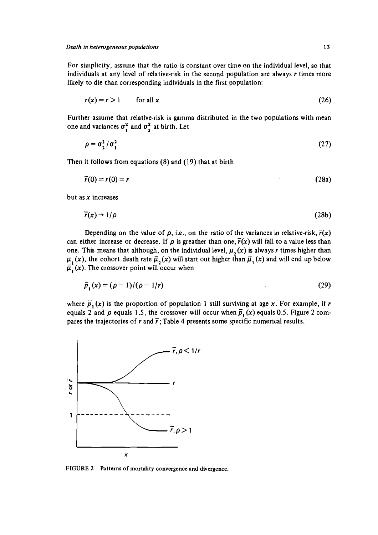For simplicity, assume that the ratio is constant over time on the individual level, so that individuals at any level of relative-risk in the second population are always r times more likely to die than corresponding individuals in the first population:

$$
r(x) = r > 1 \qquad \text{for all } x \tag{26}
$$

Further assume that relative-risk is gamma distributed in the two populations with mean one and variances  $\sigma_1^2$  and  $\sigma_2^2$  at birth. Let

$$
\rho = \sigma_2^2 / \sigma_1^2 \tag{27}
$$

Then it follows from equations (8) and (19) that at birth

$$
\overline{r}(0) = r(0) = r \tag{28a}
$$

but as  $x$  increases

$$
\overline{r}(x) \to 1/\rho \tag{28b}
$$

Depending on the value of  $\rho$ , i.e., on the ratio of the variances in relative-risk,  $\overline{r}(x)$ can either increase or decrease. If  $\rho$  is greather than one,  $\vec{r}(x)$  will fall to a value less than one. This means that although, on the individual level,  $\mu_{\alpha}(x)$  is always r times higher than  $\mu_1(x)$ , the cohort death rate  $\bar{\mu}_2(x)$  will start out higher than  $\bar{\mu}_1(x)$  and will end up below  $\overline{\mu}_1(x)$ . The crossover point will occur when

$$
\overline{p}_1(x) = (\rho - 1)/(\rho - 1/r) \tag{29}
$$

where  $\overline{p}_1(x)$  is the proportion of population 1 still surviving at age x. For example, if r equals 2 and  $\rho$  equals 1.5, the crossover will occur when  $\overline{p}_1(x)$  equals 0.5. Figure 2 compares the trajectories of r and  $\bar{r}$ ; Table 4 presents some specific numerical results.



**FIGURE 2 Patterns of mortality convergence and divergence.**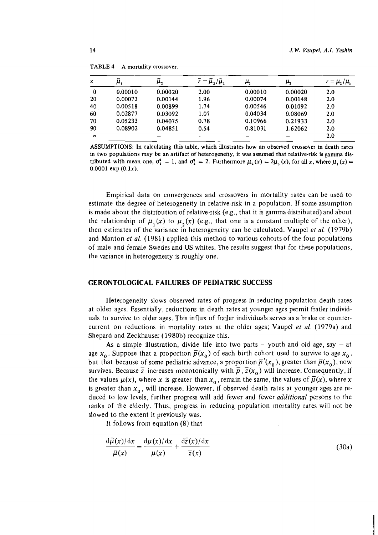| x        | $\boldsymbol{\mu}_\text{1}$ | μ,      | $\bar{r} = \bar{\mu}_2/\bar{\mu}_1$ | μ,      | μ,      | $r = \mu_{2}/\mu_{1}$ |
|----------|-----------------------------|---------|-------------------------------------|---------|---------|-----------------------|
| $\bf{0}$ | 0.00010                     | 0.00020 | 2.00                                | 0.00010 | 0.00020 | 2.0                   |
| 20       | 0.00073                     | 0.00144 | 1.96                                | 0.00074 | 0.00148 | 2.0                   |
| 40       | 0.00518                     | 0.00899 | 1.74                                | 0.00546 | 0.01092 | 2.0                   |
| 60       | 0.02877                     | 0.03092 | 1.07                                | 0.04034 | 0.08069 | 2.0                   |
| 70       | 0.05233                     | 0.04075 | 0.78                                | 0.10966 | 0.21933 | 2.0                   |
| 90       | 0.08902                     | 0.04851 | 0.54                                | 0.81031 | 1.62062 | 2.0                   |
| $\infty$ |                             |         |                                     |         |         | 2.0                   |

| TABLE 4 | A mortality crossover. |
|---------|------------------------|
|---------|------------------------|

**ASSUMPTIONS: In calculating this table, which illustrates how an observed crossover in death rates in two populations may be an artifact of heterogeneity, it was assumed that relative-risk is gamma distributed with mean one,**  $\sigma_1^2 = 1$ **, and**  $\sigma_2^2 = 2$ **. Furthermore**  $\mu_1(x) = 2\mu_1(x)$ **, for all x, where**  $\mu_1(x) =$  $0.0001 \exp(0.1x)$ .

Empirical data on convergences and crossovers in mortality rates can be used to estimate the degree of heterogeneity in relative-risk in a population. If some assumption is made about the distribution of relative-risk (e.g., that it is gamma distributed) and about the relationship of  $\mu(x)$  to  $\mu(x)$  (e.g., that one is a constant multiple of the other), then estimates of the variance in heterogeneity can be calculated. Vaupel *et al.* (1979b) and Manton *et al.* (1981) applied this method to various cohorts of the four populations of male and female Swedes and US whites. The results suggest that for these populations, the variance in heterogeneity is roughly one.

#### **GERONTOLOGICAL FAILURES OF PEDIATRIC SUCCESS**

Heterogeneity slows observed rates of progress in reducing population death rates at older ages. Essentially, reductions in death rates at younger ages permit frailer individuals to survive to older ages. This influx of frailer individuals serves as a brake or countercurrent on reductions in mortality rates at the older ages; Vaupel et *al.* (1979a) and Shepard and Zeckhauser (1980b) recognize this.

As a simple illustration, divide life into two parts  $-$  youth and old age, say  $-$  at age  $x_0$ . Suppose that a proportion  $\overline{p}(x_0)$  of each birth cohort used to survive to age  $x_0$ , but that because of some pediatric advance, a proportion  $\bar{p}'(x_0)$ , greater than  $\bar{p}(x_0)$ , now survives. Because  $\overline{z}$  increases monotonically with  $\overline{p}$ ,  $\overline{z}(x_0)$  will increase. Consequently, if the values  $\mu(x)$ , where x is greater than  $x_0$ , remain the same, the values of  $\bar{\mu}(x)$ , where x is greater than  $x_0$ , will increase. However, if observed death rates at younger ages are reduced to low levels, further progress will add fewer and fewer *additional* persons to the ranks of the elderly. Thus, progress in reducing population mortality rates will not be slowed to the extent it previously was.

It follows from equation (8) that

$$
\frac{\mathrm{d}\bar{\mu}(x)/\mathrm{d}x}{\bar{\mu}(x)} = \frac{\mathrm{d}\mu(x)/\mathrm{d}x}{\mu(x)} + \frac{\mathrm{d}\bar{z}(x)/\mathrm{d}x}{\bar{z}(x)}\tag{30a}
$$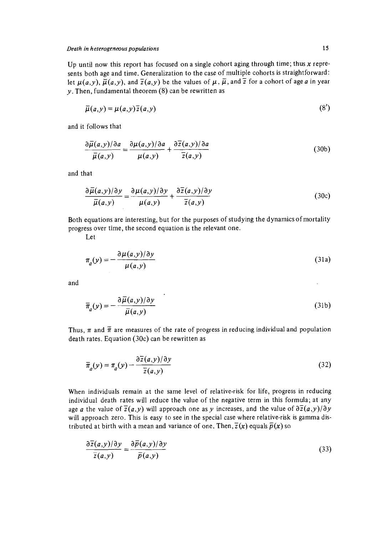Up until now this report has focused on a single cohort aging through time; thus **x** represents both age and time. Generalization to the case of multiple cohorts is straightforward: let  $\mu(a,y)$ ,  $\bar{\mu}(a,y)$ , and  $\bar{z}(a,y)$  be the values of  $\mu$ ,  $\bar{\mu}$ , and  $\bar{z}$  for a cohort of age a in year  $y$ . Then, fundamental theorem  $(8)$  can be rewritten as

$$
\overline{\mu}(a, y) = \mu(a, y)\overline{z}(a, y) \tag{8'}
$$

and it follows that

$$
\frac{\partial \overline{\mu}(a,y)/\partial a}{\overline{\mu}(a,y)} = \frac{\partial \mu(a,y)/\partial a}{\mu(a,y)} + \frac{\partial \overline{z}(a,y)/\partial a}{\overline{z}(a,y)}\tag{30b}
$$

and that

$$
\frac{\partial \overline{\mu}(a,y)/\partial y}{\overline{\mu}(a,y)} = \frac{\partial \mu(a,y)/\partial y}{\mu(a,y)} + \frac{\partial \overline{z}(a,y)/\partial y}{\overline{z}(a,y)}
$$
(30c)

Both equations are interesting, but for the purposes of studying the dynamics of mortality progress over time, the second equation is the relevant one.

Let

$$
\pi_a(y) = -\frac{\partial \mu(a, y)/\partial y}{\mu(a, y)}
$$
\n(31a)

and

$$
\overline{\pi}_a(y) = -\frac{\partial \overline{\mu}(a, y)/\partial y}{\overline{\mu}(a, y)}
$$
\n(31b)

Thus,  $\pi$  and  $\tilde{\pi}$  are measures of the rate of progress in reducing individual and population death rates. Equation (30c) can be rewritten as

$$
\overline{\pi}_a(y) = \pi_a(y) - \frac{\partial \overline{z}(a, y)/\partial y}{\overline{z}(a, y)}
$$
(32)

When individuals remain at the same level of relative-risk for life, progress in reducing individual death rates will reduce the value of the negative term in this formula; at any age a the value of  $\overline{z}(a, y)$  will approach one as y increases, and the value of  $\partial \overline{z}(a, y)/\partial y$ will approach zero. This is easy to see in the special case where relative-risk is gamma distributed at birth with a mean and variance of one. Then,  $\overline{z}(x)$  equals  $\overline{p}(x)$  so

$$
\frac{\partial \overline{z}(a, y)/\partial y}{\overline{z}(a, y)} = \frac{\partial \overline{p}(a, y)/\partial y}{\overline{p}(a, y)}
$$
(33)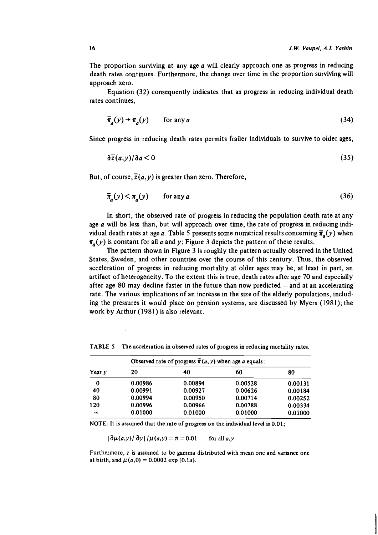The proportion surviving at any age  $a$  will clearly approach one as progress in reducing death rates continues. Furthermore, the change over time in the proportion surviving will approach zero.

Equation *(32)* consequently indicates that as progress in reducing individual death rates continues,

$$
\overline{\pi}_a(y) \to \pi_a(y) \qquad \text{for any } a \tag{34}
$$

Since progress in reducing death rates permits frailer individuals to survive to older ages,

$$
\partial \overline{z}(a, y)/\partial a < 0 \tag{35}
$$

But, of course,  $\overline{z}(a,y)$  is greater than zero. Therefore,

$$
\overline{\pi}_a(y) < \pi_a(y) \qquad \text{for any } a \tag{36}
$$

In short, the observed rate of progress in reducing the population death rate at any age  $a$  will be less than, but will approach over time, the rate of progress in reducing individual death rates at age a. Table 5 presents some numerical results concerning  $\bar{\pi}_a(y)$  when  $\pi_a(y)$  is constant for all a and y; Figure 3 depicts the pattern of these results.

The pattern shown in Figure *3* is roughly the pattern actually observed in the United States, Sweden, and other countries over the course of this century. Thus, the observed acceleration of progress in reducing mortality at older ages may be, at least in part, an artifact of heterogeneity. To the extent this is true, death rates after age *70* and especially after age 80 may decline faster in the future than now predicted  $-$  and at an accelerating rate. The various implications of an increase in the size of the elderly populations, including the pressures it would place on pension systems, are discussed by Myers *(1981);* the work by Arthur *(1981)* is also relevant.

| Year y   | Observed rate of progress $\bar{\pi}(a, y)$ when age a equals: |         |         |         |  |  |
|----------|----------------------------------------------------------------|---------|---------|---------|--|--|
|          | 20                                                             | 40      | 60      | 80      |  |  |
| 0        | 0.00986                                                        | 0.00894 | 0.00528 | 0.00131 |  |  |
| 40       | 0.00991                                                        | 0.00927 | 0.00626 | 0.00184 |  |  |
| 80       | 0.00994                                                        | 0.00950 | 0.00714 | 0.00252 |  |  |
| 120      | 0.00996                                                        | 0.00966 | 0.00788 | 0.00334 |  |  |
| $\infty$ | 0.01000                                                        | 0.01000 | 0.01000 | 0.01000 |  |  |

**TABLE** *5* **The acceleration in observed rates of progress in reducing mortality rates.** 

**NOTE: It is assumed that the rate of progress on the individual level is** *0.01;* 

 $\left[\frac{\partial \mu(a, y)}{\partial y}\right] / \mu(a, y) = \pi = 0.01$ for all  $a, y$ 

**Furthermore,** *z* **is assumed to be gamma distributed with mean one and variance one**  at birth, and  $\mu(a,0) = 0.0002 \exp(0.1a)$ .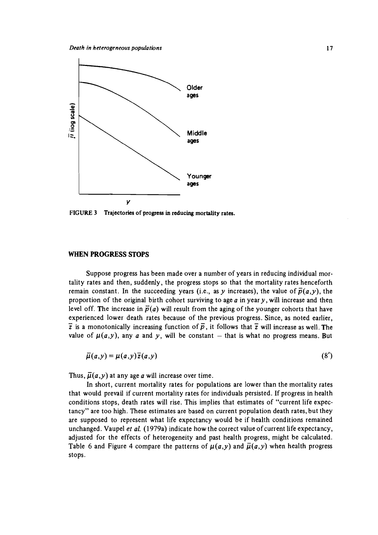

**FIGURE 3 Trajectories of progress in reducing mortality rates.** 

#### **WHEN** PROGRESS STOPS

Suppose progress has been made over a number of years in reducing individual mortality rates and then, suddenly, the progress stops so that the mortality rates henceforth remain constant. In the succeeding years (i.e., as y increases), the value of  $\bar{p}(a,y)$ , the proportion of the original birth cohort surviving to age  $a$  in year  $y$ , will increase and then level off. The increase in  $\bar{p}(a)$  will result from the aging of the younger cohorts that have experienced lower death rates because of the previous progress. Since, as noted earlier, -  $\bar{z}$  is a monotonically increasing function of  $\bar{p}$ , it follows that  $\bar{z}$  will increase as well. The value of  $\mu(a,y)$ , any a and y, will be constant - that is what no progress means. But

$$
\overline{\mu}(a,y) = \mu(a,y)\overline{z}(a,y) \tag{8'}
$$

Thus,  $\overline{\mu}(a, y)$  at any age a will increase over time.

In short, current mortality rates for populations are lower than the mortality rates that would prevail if current mortality rates for individuals persisted. If progress in health conditions stops, death rates will rise. This implies that estimates of "current life expectancy" are too high. These estimates are based on current population death rates, but they are supposed to represent what life expectancy would be if health conditions remained unchanged. Vaupel *et* al. (1979a) indicate how the correct value of current life expectancy, adjusted for the effects of heterogeneity and past health progress, might be calculated. Table 6 and Figure 4 compare the patterns of  $\mu(a,y)$  and  $\bar{\mu}(a,y)$  when health progress stops.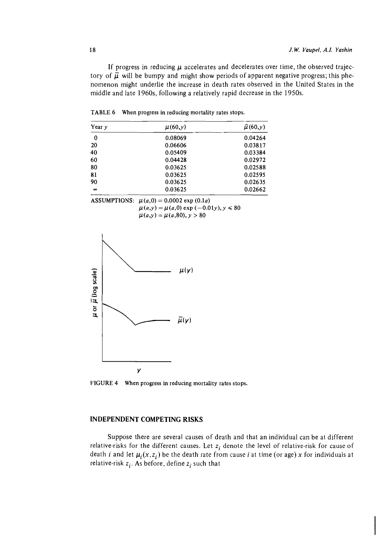If progress in reducing  $\mu$  accelerates and decelerates over time, the observed trajectory of  $\overline{\mu}$  will be bumpy and might show periods of apparent negative progress; this phenomenon might underlie the increase in death rates observed in the United States in the middle and late 1960s, following a relatively rapid decrease in the 1950s.

| Year $\nu$ | $\mu(60, y)$ | $\bar{\mu}$ (60, y) |
|------------|--------------|---------------------|
| 0          | 0.08069      | 0.04264             |
| 20         | 0.06606      | 0.03817             |
| 40         | 0.05409      | 0.03384             |
| 60         | 0.04428      | 0.02972             |
| 80         | 0.03625      | 0.02588             |
| 81         | 0.03625      | 0.02595             |
| 90         | 0.03625      | 0.02635             |
| $\infty$   | 0.03625      | 0.02662             |

**TABLE 6 When progress in reducing mortality rates stops.** 

| ASSUMPTIONS: $\mu(a,0) = 0.0002 \exp(0.1a)$    |
|------------------------------------------------|
| $\mu(a, y) = \mu(a, 0) \exp(-0.01y), y \le 80$ |
| $\mu(a,y) = \mu(a,80), y > 80$                 |



**FIGURE 4 When progress in reducing mortality rates stops.** 

#### **INDEPENDENT COMPETING RISKS**

Suppose there are several causes of death and that an individual can be at different relative-risks for the different causes. Let  $z_i$  denote the level of relative-risk for cause of death *i* and let  $\mu_i(x, z_i)$  be the death rate from cause *i* at time (or age) x for individuals at relative-risk  $z_i$ . As before, define  $z_i$  such that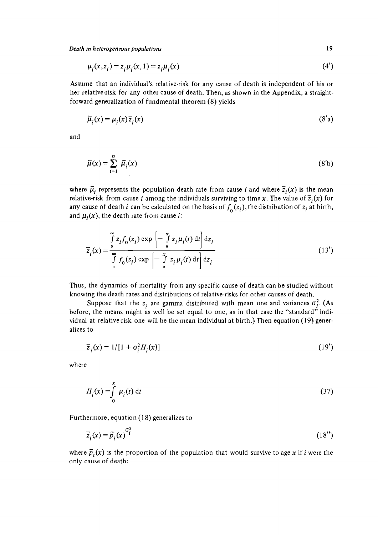Death in heterogeneous populations 19

$$
\mu_i(x, z_i) = z_i \mu_i(x, 1) = z_i \mu_i(x) \tag{4'}
$$

Assume that an individual's relative-risk for any cause of death is independent of his or her relative-risk for any other cause of death. Then, as shown in the Appendix, a straightforward generalization of fundmental theorem (8) yields

$$
\overline{\mu}_i(x) = \mu_i(x)\overline{z}_i(x) \tag{8'}
$$

and

$$
\bar{\mu}(x) = \sum_{i=1}^{n} \bar{\mu}_i(x) \tag{8'}
$$

where  $\bar{\mu}_i$  represents the population death rate from cause *i* and where  $\bar{z}_i(x)$  is the mean relative-risk from cause *i* among the individuals surviving to time x. The value of  $\overline{z}_i(x)$  for any cause of death *i* can be calculated on the basis of  $f_0(z_i)$ , the distribution of  $z_i$  at birth, and  $\mu_i(x)$ , the death rate from cause *i*:

$$
\overline{z}_{i}(x) = \int_{0}^{\infty} z_{i} f_{0}(z_{i}) \exp\left[-\int_{0}^{x} z_{i} \mu_{i}(t) dt\right] dz_{i}
$$
\n
$$
\overline{z}_{i}(x) = \int_{0}^{\infty} f_{0}(z_{i}) \exp\left[-\int_{0}^{x} z_{i} \mu_{i}(t) dt\right] dz_{i}
$$
\n(13')

Thus, the dynamics of mortality from any specific cause of death can be studied without knowing the death rates and distributions of relative-risks for other causes of death.

Suppose that the  $z_i$  are gamma distributed with mean one and variances  $\sigma_i^2$ . (As before, the means might as well be set equal to one, as in that case the "standard" individual at relative-risk one will be the mean individual at birth.) Then equation (19) generalizes to

$$
\overline{z}_i(x) = 1/[1 + \sigma_i^2 H_i(x)] \tag{19'}
$$

where

$$
H_i(x) = \int_0^x \mu_i(t) dt
$$
 (37)

Furthermore, equation (18) generalizes to

$$
\overline{z}_i(x) = \overline{p}_i(x)^{\sigma_i^2}
$$
 (18")

where  $\overline{p}_i(x)$  is the proportion of the population that would survive to age x if i were the only cause of death: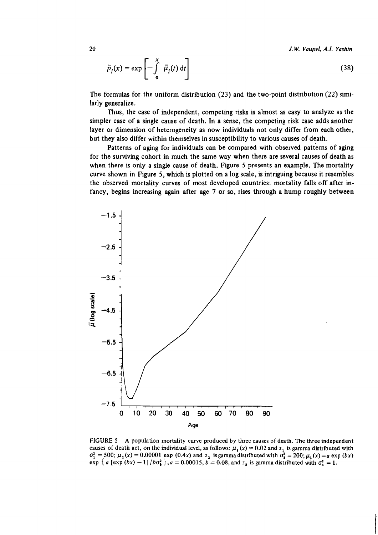*20 J.* **W.** *Vaupel, A.I.* **Yashin** 

$$
\overline{p}_i(x) = \exp\left[-\int_0^x \overline{\mu}_i(t) dt\right]
$$
 (38)

The formulas for the uniform distribution **(23)** and the two-point distribution **(22)** similarly generalize.

Thus, the case of independent, competing risks is almost as easy to analyze as the simpler case of a single cause of death. In a sense, the competing risk case adds another layer or dimension of heterogeneity as now individuals not only differ from each other, but they also differ within themselves in susceptibility to various causes of death.

Patterns of aging for individuals can be compared with observed patterns of aging for the surviving cohort in much the same way when there are several causes of death as when there is only a single cause of death. Figure 5 presents an example. The mortality curve shown in Figure 5, which is plotted on a log scale, is intriguing because it resembles the observed mortality curves of most developed countries: mortality falls off after infancy, begins increasing again after age 7 or so, rises through a hump roughly between



*FIGURE 5* **A population mortality curve produced by three causes of death. The three independent**  causes of death act, on the individual level, as follows:  $\mu_1(x) = 0.02$  and  $z_1$  is gamma distributed with  $\sigma_1^2 = 500$ ;  $\mu_2(x) = 0.00001$  exp  $(0.4x)$  and  $z_2$  is gamma distributed with  $\sigma_2^2 = 200$ ;  $\mu_2(x) = a \exp(bx)$ **exp**  $\{a \ [\text{exp}(bx) - 1] / b\sigma_3^2\}, a = 0.00015, b = 0.08, \text{and } z_3 \text{ is gamma distributed with } \sigma_3^2 = 1.$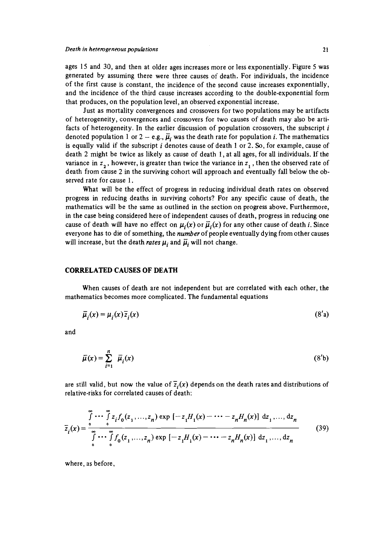ages **15** and 30, and then at older ages increases more or less exponentially. Figure **5** was generated by assuming there were three causes of death. For individuals, the incidence of the first cause is constant, the incidence of the second cause increases exponentially, and the incidence of the third cause increases according to the double-exponential form that produces, on the population level, an observed exponential increase.

Just as mortality convergences and crossovers for two populations may be artifacts of heterogeneity, convergences and crossovers for two causes of death may also be artifacts of heterogeneity. In the earlier discussion of population crossovers, the subscript  $i$ denoted population 1 or 2 - e.g.,  $\overline{\mu}_i$  was the death rate for population *i*. The mathematics is equally valid if the subscript  $i$  denotes cause of death 1 or 2. So, for example, cause of death 2 might be twice as likely as cause of death **1,** at all ages, for all individuals. If the variance in  $z_1$ , however, is greater than twice the variance in  $z_1$ , then the observed rate of death from cause 2 in the surviving cohort will approach and eventually fall below the observed rate for cause **1.** 

What will be the effect of progress in reducing individual death rates on observed progress in reducing deaths in surviving cohorts? For any specific cause of death, the mathematics will be the same as outlined in the section on progress above. Furthermore, in the case being considered here of independent causes of death, progress in reducing one cause of death will have no effect on  $\mu_i(x)$  or  $\overline{\mu}_i(x)$  for any other cause of death i. Since everyone has to die of something, the *number* of people eventually dying from other causes will increase, but the death *rates*  $\mu_i$  and  $\bar{\mu}_i$  will not change.

## **CORRELATED CAUSES OF DEATH**

When causes of death are not independent but are correlated with each other, the mathematics becomes more complicated. The fundamental equations

$$
\overline{\mu}_i(x) = \mu_i(x)\overline{z}_i(x) \tag{8'}
$$

and

$$
\bar{\mu}(x) = \sum_{i=1}^{n} \bar{\mu}_i(x) \tag{8'}
$$

are still valid, but now the value of  $\overline{z_i}(x)$  depends on the death rates and distributions of relative-risks for correlated causes of death:

$$
\overline{z}_{i}(x) = \frac{\int_{0}^{\infty} \cdots \int_{0}^{\infty} z_{i} f_{0}(z_{1},...,z_{n}) \exp\left[-z_{1}H_{1}(x) - \cdots - z_{n}H_{n}(x)\right] dz_{1},...,dz_{n}}{\int_{0}^{\infty} \cdots \int_{0}^{\infty} f_{0}(z_{1},...,z_{n}) \exp\left[-z_{1}H_{1}(x) - \cdots - z_{n}H_{n}(x)\right] dz_{1},...,dz_{n}}
$$
(39)

where, as before,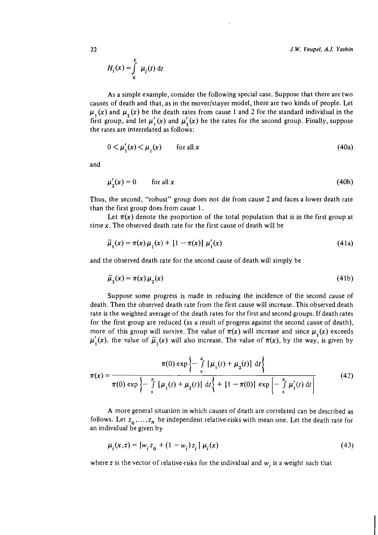$$
H_i(x) = \int_{0}^{x} \mu_i(t) dt
$$

As a simple example, consider the following special case. Suppose that there are two causes of death and that, as in the mover/stayer model, there are two kinds of people. Let  $\mu_1(x)$  and  $\mu_2(x)$  be the death rates from cause 1 and 2 for the standard individual in the first group, and let  $\mu'_1(x)$  and  $\mu'_2(x)$  be the rates for the second group. Finally, suppose the rates are interrelated as follows:

$$
0 < \mu_1'(x) < \mu_1(x) \qquad \text{for all } x \tag{40a}
$$

and

$$
\mu'_{2}(x) = 0 \qquad \text{for all } x \tag{40b}
$$

Thus, the second, "robust" group does not die from cause 2 and faces a lower death rate than the first group does from cause 1.

Let  $\pi(x)$  denote the proportion of the total population that is in the first group at time  $x$ . The observed death rate for the first cause of death will be

$$
\bar{\mu}_1(x) = \pi(x)\,\mu_1(x) + [1 - \pi(x)]\,\mu'_1(x) \tag{41a}
$$

and the observed death rate for the second cause of death will simply be

$$
\bar{\mu}_2(x) = \pi(x)\mu_2(x) \tag{41b}
$$

Suppose some progress is made in reducing the incidence of the second cause of death. Then the observed death rate from the first cause will increase. This observed death rate is the weighted average of the death rates for the first and second groups. If death rates for the first group are reduced (as a result of progress against the second cause of death), more of this group will survive. The value of  $\pi(x)$  will increase and since  $\mu_1(x)$  exceeds  $\mu'(x)$ , the value of  $\bar{\mu}_1(x)$  will also increase. The value of  $\pi(x)$ , by the way, is given by

$$
\pi(x) = \frac{\pi(0) \exp\left\{-\int_{0}^{x} [\mu_1(t) + \mu_2(t)] dt\right\}}{\pi(0) \exp\left\{-\int_{0}^{x} [\mu_1(t) + \mu_2(t)] dt\right\} + [1 - \pi(0)] \exp\left[-\int_{0}^{x} \mu_1'(t) dt\right]}
$$
(42)

A more general situation in which causes of death are correlated can be described as follows. Let  $z_0, \ldots, z_n$  be independent relative-risks with mean one. Let the death rate for an individual be given by

$$
\mu_i(x, z) = [w_i z_0 + (1 - w_i) z_i] \mu_i(x)
$$
\n(43)

where z is the vector of relative-risks for the individual and  $w_i$  is a weight such that

 $22$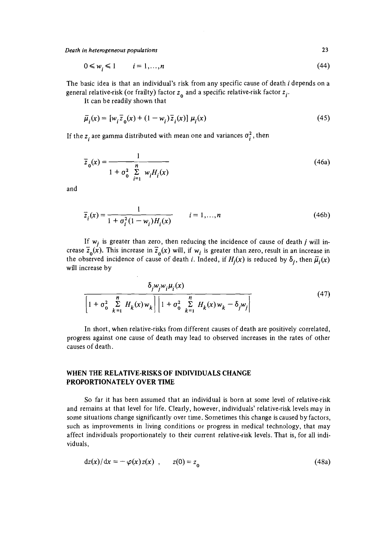*Death in heterogeneous populations* **23** 

$$
0 \leqslant w_i \leqslant 1 \qquad i = 1, \ldots, n \tag{44}
$$

The basic idea is that an individual's risk from any specific cause of death i depends on a general relative-risk (or frailty) factor  $z_0$  and a specific relative-risk factor  $z_i$ .

It can be readily shown that

$$
\bar{\mu}_i(x) = [w_i \bar{z}_0(x) + (1 - w_i) \bar{z}_i(x)] \mu_i(x)
$$
\n(45)

If the  $z_i$  are gamma distributed with mean one and variances  $\sigma_i^2$ , then

$$
\overline{z}_0(x) = \frac{1}{1 + \sigma_0^2 \sum\limits_{i=1}^n w_i H_i(x)}
$$
(46a)

and

$$
\overline{z}_i(x) = \frac{1}{1 + \sigma_i^2 (1 - w_i) H_i(x)} \qquad i = 1,...,n
$$
\n(46b)

If  $w_i$  is greater than zero, then reducing the incidence of cause of death  $j$  will increase  $\overline{z}_o(x)$ . This increase in  $\overline{z}_o(x)$  will, if  $w_i$  is greater than zero, result in an increase in the observed incidence of cause of death *i*. Indeed, if  $H_i(x)$  is reduced by  $\delta_i$ , then  $\overline{\mu}_i(x)$ will increase by

$$
\frac{\delta_j w_j w_i \mu_i(x)}{\left[1 + \sigma_0^2 \sum_{k=1}^n H_k(x) w_k\right] \left[1 + \sigma_0^2 \sum_{k=1}^n H_k(x) w_k - \delta_j w_j\right]}
$$
(47)

In short, when relative-risks from different causes of death are positively correlated, progress against one cause of death may lead to observed increases in the rates of other causes of death.

### WHEN THE RELATIVE-RISKS OF INDIVIDUALS CHANGE PROPORTIONATELY OVER TIME

So far it has been assumed that an individual is born at some level of relative-risk and remains at that level for life. Clearly, however, individuals' relative-risk levels may in some situations change significantly over time. Sometimes this change is caused by factors, such as improvements in living conditions or progress in medical technology, that may affect individuals proportionately to their current relative-risk levels. That is, for all individuals,

$$
dz(x)/dx = -\varphi(x)z(x) , \qquad z(0) = z_0
$$
\n(48a)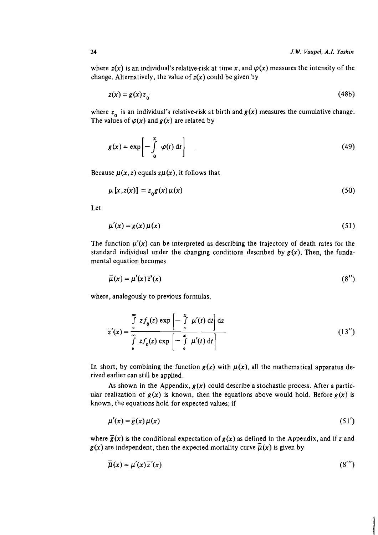where  $z(x)$  is an individual's relative-risk at time x, and  $\varphi(x)$  measures the intensity of the change. Alternatively, the value of  $z(x)$  could be given by

$$
z(x) = g(x)z_0 \tag{48b}
$$

where  $z_0$  is an individual's relative-risk at birth and  $g(x)$  measures the cumulative change. The values of  $\varphi(x)$  and  $g(x)$  are related by

$$
g(x) = \exp\left[-\int_{0}^{x} \varphi(t) dt\right]
$$
 (49)

Because  $\mu(x, z)$  equals  $z\mu(x)$ , it follows that

$$
\mu\left[x, z(x)\right] = z_0 g(x)\mu(x) \tag{50}
$$

Let

$$
\mu'(x) = g(x)\,\mu(x) \tag{51}
$$

The function  $\mu'(x)$  can be interpreted as describing the trajectory of death rates for the standard individual under the changing conditions described by  $g(x)$ . Then, the fundamental equation becomes

$$
\bar{\mu}(x) = \mu'(x)\bar{z}'(x) \tag{8''}
$$

where, analogously to previous formulas,

$$
\overline{z}'(x) = \int_{0}^{\infty} z f_0(z) \exp\left[-\int_{0}^{x} \mu'(t) dt\right] dz
$$
  

$$
\int_{0}^{\infty} z f_0(z) \exp\left[-\int_{0}^{x} \mu'(t) dt\right]
$$
 (13'')

In short, by combining the function  $g(x)$  with  $\mu(x)$ , all the mathematical apparatus derived earlier can still be applied.

As shown in the Appendix,  $g(x)$  could describe a stochastic process. After a particular realization of  $g(x)$  is known, then the equations above would hold. Before  $g(x)$  is known, the equations hold for expected values; if

$$
\mu'(x) = \overline{g}(x)\,\mu(x) \tag{51'}
$$

where  $\bar{g}(x)$  is the conditional expectation of  $g(x)$  as defined in the Appendix, and if z and  $g(x)$  are independent, then the expected mortality curve  $\overline{\overline{\mu}}(x)$  is given by

$$
\bar{\bar{\mu}}(x) = \mu'(x)\bar{z}'(x) \tag{8''}
$$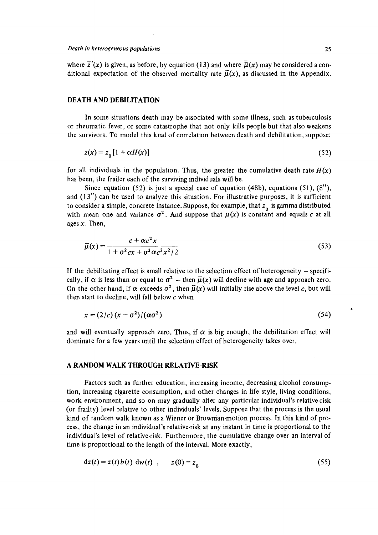where  $\overline{z}'(x)$  is given, as before, by equation (13) and where  $\overline{u}(x)$  may be considered a conditional expectation of the observed mortality rate  $\bar{\mu}(x)$ , as discussed in the Appendix.

#### DEATH AND DEBILITATION

In some situations death may be associated with some illness, such as tuberculosis or rheumatic fever, or some catastrophe that not only kills people but that also weakens the survivors. To model this kind of correlation between death and debilitation, suppose:

$$
z(x) = z_0 \left[ 1 + \alpha H(x) \right] \tag{52}
$$

for all individuals in the population. Thus, the greater the cumulative death rate  $H(x)$ has been, the frailer each of the surviving individuals will be.

Since equation (52) is just a special case of equation (48b), equations (51),  $(8'')$ , and  $(13'')$  can be used to analyze this situation. For illustrative purposes, it is sufficient to consider a simple, concrete instance. Suppose, for example, that  $z_0$  is gamma distributed with mean one and variance  $\sigma^2$ . And suppose that  $\mu(x)$  is constant and equals c at all ages  $x$ . Then,

$$
\overline{\mu}(x) = \frac{c + \alpha c^2 x}{1 + \sigma^2 c x + \sigma^2 \alpha c^2 x^2 / 2}
$$
\n
$$
(53)
$$

If the debilitating effect is small relative to the selection effect of heterogeneity  $-$  specifically, if  $\alpha$  is less than or equal to  $\sigma^2$  - then  $\bar{\mu}(x)$  will decline with age and approach zero. On the other hand, if  $\alpha$  exceeds  $\sigma^2$ , then  $\bar{\mu}(x)$  will initially rise above the level c, but will then start to decline, will fall below  $c$  when

$$
x = \frac{2}{c} \frac{\lambda}{c} \frac{\lambda}{c} - \frac{\sigma^2}{c^2} \frac{1}{(\alpha \sigma^2)}
$$
 (54)

and will eventually approach zero. Thus, if  $\alpha$  is big enough, the debilitation effect will dominate for a few years until the selection effect of heterogeneity takes over.

#### A RANDOM WALK THROUGH RELATIVE-RISK

Factors such as further education, increasing income, decreasing alcohol consumption, increasing cigarette consumption, and other changes in life style, living conditions, work environment, and so on may gradually alter any particular individual's relative-risk (or frailty) level relative to other individuals' levels. Suppose that the process is the usual kind of random walk known as a Wiener or Brownian-motion process. In this kind of process, the change in an individual's relative-risk at any instant in time is proportional to the individual's level of relative-risk. Furthermore, the cumulative change over an interval of time is proportional to the length of the interval. More exactly,

$$
dz(t) = z(t) b(t) dw(t) , z(0) = z_0
$$
 (55)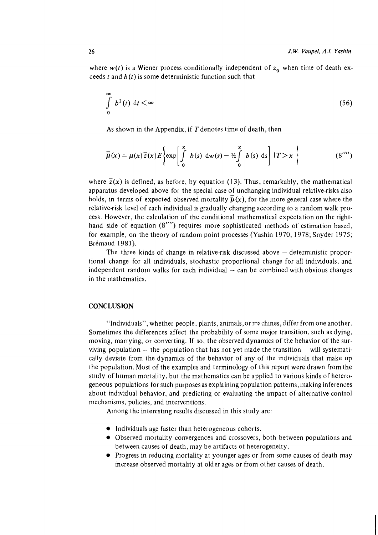where  $w(t)$  is a Wiener process conditionally independent of  $z_0$  when time of death exceeds t and  $b(t)$  is some deterministic function such that

$$
\int_{0}^{\infty} b^{2}(t) dt < \infty
$$
\n(56)

As shown in the Appendix, if  $T$  denotes time of death, then

$$
\overline{\overline{\mu}}(x) = \mu(x)\overline{z}(x)E\left\{\exp\left[\int\limits_{0}^{x} b(s) dw(s) - \frac{x}{2} \int\limits_{0}^{x} b(s) ds\right] |T > x\right\}
$$
(8'''')

where  $\overline{z}(x)$  is defined, as before, by equation (13). Thus, remarkably, the mathematical apparatus developed above for the special case of unchanging individual relative-risks also holds, in terms of expected observed mortality  $\overline{\mu}(x)$ , for the more general case where the relative-risk level of each individual is gradually changing according to a random walk process. However, the calculation of the conditional mathematical expectation on the righthand side of equation (8"") requires more sophisticated methods of estimation based, for example, on the theory of random point processes (Yashin 1970, 1978; Snyder 1975; Brémaud 1981).

The three kinds of change in relative-risk discussed above  $-$  deterministic proportional change for all individuals, stochastic proportional change for all individuals, and independent random walks for each individual  $-$  can be combined with obvious changes in the mathematics.

## **CONCLUSION**

"lndividuals", whether people, plants, animals,or machines, differ from one another. Sometimes the differences affect the probability of some major transition, such as dying, moving, marrying, or converting. If so, the observed dynamics of the behavior of the surviving population  $-$  the population that has not yet made the transition  $-\text{will}$  systematically deviate from the dynamics of the behavior of any of the individuals that make up the population. Most of the examples and terminology of this report were drawn from the study of human mortality, but the mathematics can be applied to various kinds of heterogeneous populations for such purposes as explaining population patterns, making inferences about individual behavior, and predicting or evaluating the impact of alternative control mechanisms, policies, and interventions.

Among the interesting results discussed in this study are:

- $\bullet$  Individuals age faster than heterogeneous cohorts.
- Observed mortality convergences and crossovers, both between populations and between causes of death, may be artifacts of heterogeneity.
- Progress in reducing mortality at younger ages or from some causes of death may increase observed mortality at older ages or from other causes of death.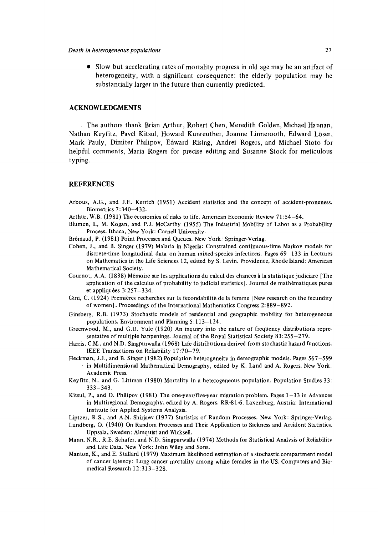Slow but accelerating rates of mortality progress in old age may be an artifact of heterogeneity, with a significant consequence: the elderly population may be substantially larger in the future than currently predicted.

#### **ACKNOWLEDGMENTS**

The authors thank Brian Arthur, Robert Chen, Meredith Golden, Michael Hannan, Nathan Keyfitz, Pave1 Kitsul, Howard Kunreuther, Joanne Linnerooth, Edward Loser, Mark Pauly, Dirniter Philipov, Edward Rising, Andrei Rogers, and Michael Stoto for helpful comments, Maria Rogers for precise editing and Susanne Stock for meticulous typing.

#### **REFERENCES**

- Arbous, A.G., and J.E. Kerrich (1951) Accident statistics and the concept of accident-proneness. Biometrics 7 : 340-432.
- Arthur, W.B. (1981) The economics of risks to life. American Economic Review 71:54-64.
- Blumen, I., M. Kogan, and P.J. McCarthy (1955) The Industrial Mobility of Labor as a Probability Process. Ithaca, New York: Cornell University.
- Brémaud, P. (1981) Point Processes and Queues. New York: Springer-Verlag.
- Cohen, J., and B. Singer (1979) Malaria in Nigeria: Constrained continuous-time Markov models for discrete-time longitudinal data on human mixed-species infections. Pages 69-133 in Lectures on Mathematics in the Life Sciences 12, edited by S. Levin. Providence, Rhode Island: American Mathematical Society.
- Cournot, A.A. (1838) Mémoire sur les applications du calcul des chances à la statistique judiciare [The application of the calculus of probability to judicial statistics]. Journal de mathkmatiques pures et appliquées  $3:257-334$ .
- Gini, C. (1924) Premières recherches sur la fecondabilité de la femme [New research on the fecundity of women]. Proceedings of the International Mathematics Congress 2:889-892.
- Ginsberg, R.B. (1973) Stochastic models of residential and geographic moblity for heterogeneous populations. Environment and Planning 5:113-124.
- Greenwood, M., and G.U. Yule (1920) An inquiry into the nature of frequency distributions representative of multiple happenings. Journal of the Royal Statistical Society 83:255-279.
- Harris, C.M., and N.D. Singpurwalla (1968) Life distributions derived from stochastic hazard functions. IEEE Transactions on Reliability 17:70-79.
- Heckman, J.J., and B. Singer (1982) Population heterogeneity in demographic models. Pages 567-599 in Multidimensional Mathematical Demography, edited by K. Land and A. Rogers. New York: Academic Press.
- Keyfitz, N., and G. Littman (1980) Mortality in a heterogeneous population. Population Studies 33: 333-343.
- Kitsul, P., and D. Philipov (1981) The one-year/five-year migration problem. Pages  $1-33$  in Advances in Multiregional Demography, edited by A. Rogers. RR-81-6. Laxenburg, Austria: International Institute for Applied Systems Analysis.
- Liptzer, R.S., and A.N. Shirjaev (1977) Statistics of Random Processes. New York: Springer-Verlag.
- Lundberg, 0. (1940) On Random Processes and Their Application to Sickness and Accident Statistics. Uppsala, Sweden: Almquist and Wicksell.
- Mann, N.R., R.E. Schafer, and N.D. SingpurwaJla (1974) Methods for Statistical Analysis of Reliability and Life Data. New York: John Wiley and Sons.
- Manton, K., and E. Stallard (1979) Maximum likelihood estimation of astochastic compartment model of cancer latency: Lung cancer mortality among white females in the US. Computers and Biomedical Research 12:313-328.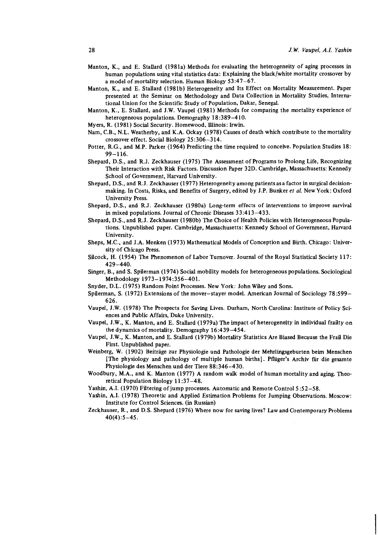- Manton, K., and E. Stallard (1981a) Methods for evaluating the heterogeneity of aging processes in human populations using vital statistics data: Explaining the black/white mortality crossover by a model of mortality selection. Human Biology 53:47-67.
- Manton, K., and E. Stallard (1981b) Heterogeneity and Its Effect on Mortality Measurement. Paper presented at the Seminar on Methodology and Data Collection in Mortality Studies, International Union for the Scientific Study of Population, Dakar, Senegal.
- Manton, K., E. Stallard, and J.W. Vaupel (1981) Methods for comparing the mortality experience of heterogeneous populations. Demography 18:389-4 10.
- Myers, R. (1981) Social Security. Homewood, Illinois: Irwin.
- Nam, C.B., N.L. Weatherby, and K.A. Ockay (1978) Causes of death which contribute to themortality crossover effect. Social Biology 25: 306-3 14.
- Potter, R.G., and M.P. Parker (1964) Predicting the time required to conceive. Population Studies 18: 99-116.
- Shepard, D.S., and R.J. Zeckhauser (1975) The Assessment of Rograms to Rolong Life, Recognizing Their Interaction with Risk Factors. Discussion Paper 32D. Cambridge, Massachusetts: Kennedy School of Government, Harvard University.
- Shepard, D.S., and R.J. Zeckhauser (1977) Heterogeneity among patients asa factor in surgical decisionmaking. In Costs, Risks, and Benefits of Surgery, edited by J.P. Bunker *et* al. New York: Oxford University Press.
- Shepard, D.S., and R.J. Zeckhauser (1980a) Long-term effects of interventions to improve survival in mixed populations. Journal of Chronic Diseases 33:413-433.
- Shepard, D.S., and R.J. Zeckhauser (1980b) The Choice of Health Policies with Heterogeneous Populations. Unpublished paper. Cambridge, Massachusetts: Kennedy School of Government, Harvard University.
- Sheps, M.C., and J.A. Menken (1973) Mathematical Models of Conception and Birth. Chicago: University of Chicago Ress.
- Silcock, H. (1954) The Phenomenon of Labor Turnover. Journal of the Royal Statistical Society 117: 429-440.
- Singer, B., and S. Spilerman (1974) Social mobility models for heterogeneous populations. Sociological Methodology 1973-1974:356-401.
- Snyder, D.L. (1975) Random Point Rocesses. New York: John Wiley and Sons.
- Spilerman, S. (1972) Extensions of the mover-stayer model. American Journal of Sociology 78:599-626.
- Vaupel, J.W. (1978) The Rospects for Saving Lives. Durham, North Carolina: Institute of Policy Sciences and Public Affairs, Duke University.
- Vaupel, J.W., K. Manton, and E. Stallard (1979a) The impact of heterogeneity in individual frailty on the dynamics of mortality. Demography 16:439-454.
- Vaupel, J.W., K. Manton, and E. Stallard (1979b) Mortality Statistics Are Biased Because the Frail Die First. Unpublished paper.
- Weinberg, W. (1902) Beitrage zur Physiologie und Pathologie der Mehrlingsgeburten beirn Menschen [The physiology and pathology of multiple human births]. Pfliiger's Archiv fur die gesamte Physiologie des Menschen und der Tiere 88:346-430.
- Woodbury, M.A., and K. Manton (1977) A random walk model of human mortality and aging. **Theo**retical Population Biology 11 :37-48.
- Yashin, A.I. (1970) Filtering of jump processes. Automatic and Remote Control 5 :52-58.
- Yashin, A.I. (1978) Theoretic and Applied Estimation Roblems for Jumping Observations. Moscow: Institute for Control Sciences. (in Russian)
- Zeckhauser, R., and D.S. Shepard (1976) Where now for saving lives? Law and Contemporary Roblems 40(4):5-45.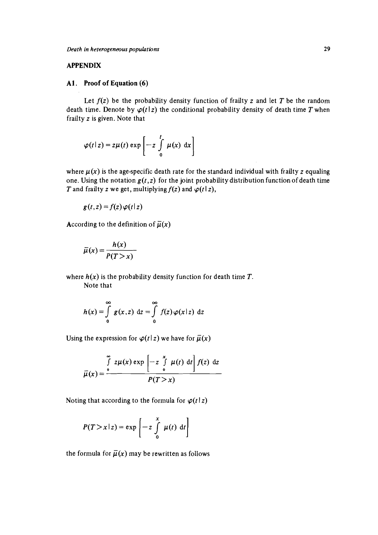## **APPENDIX**

### A1 . **Proof of Equation (6)**

Let  $f(z)$  be the probability density function of frailty  $z$  and let  $T$  be the random death time. Denote by  $\varphi(t|x)$  the conditional probability density of death time *T* when frailty *z* is given. Note that

$$
\varphi(t|z) = z\mu(t) \exp\left[-z\int\limits_0^t \mu(x) dx\right]
$$

where  $\mu(x)$  is the age-specific death rate for the standard individual with frailty z equaling one. Using the notation  $g(t, z)$  for the joint probability distribution function of death time *T* and frailty *z* we get, multiplying  $f(z)$  and  $\varphi(t|z)$ ,

$$
g(t, z) = f(z) \varphi(t | z)
$$

According to the definition of  $\overline{\mu}(x)$ 

$$
\bar{\mu}(x) = \frac{h(x)}{P(T > x)}
$$

where  $h(x)$  is the probability density function for death time  $T$ .

Note that

$$
h(x) = \int_{0}^{\infty} g(x, z) dz = \int_{0}^{\infty} f(z) \varphi(x|z) dz
$$

Using the expression for  $\varphi(t|z)$  we have for  $\bar{\mu}(x)$ 

$$
\overline{\mu}(x) = \frac{\int_{0}^{\infty} z \mu(x) \exp\left[-z \int_{0}^{x} \mu(t) dt\right] f(z) dz}{P(T > x)}
$$

Noting that according to the formula for  $\varphi(t|z)$ 

$$
P(T > x \mid z) = \exp\left[-z \int\limits_{0}^{x} \mu(t) dt\right]
$$

the formula for  $\bar{\mu}(x)$  may be rewritten as follows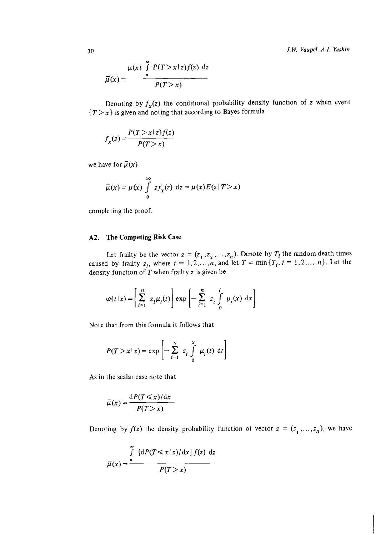*J.* **W. Vaupel, A.I. Yashin** 

$$
\bar{\mu}(x) = \frac{\mu(x) \int_{0}^{\infty} P(T > x \mid z) f(z) dz}{P(T > x)}
$$

Denoting by  $f_x(z)$  the conditional probability density function of z when event  ${T > x}$  is given and noting that according to Bayes formula

$$
f_x(z) = \frac{P(T > x \mid z) f(z)}{P(T > x)}
$$

we have for  $\overline{\mu}(x)$ 

$$
\bar{\mu}(x) = \mu(x) \int_{0}^{\infty} z f_x(z) dz = \mu(x) E(z | T > x)
$$

completing the proof.

## **A2. The Competing Risk Case**

Let frailty be the vector  $z = (z_1, z_2, ..., z_n)$ . Denote by  $T_i$  the random death times caused by frailty  $z_i$ , where  $i = 1, 2, ..., n$ , and let  $T = \min\{T_i, i = 1, 2, ..., n\}$ . Let the density function of  $T$  when frailty z is given be

$$
\varphi(t|z) = \left[\sum_{i=1}^{n} z_i \mu_i(t)\right] \exp\left[-\sum_{i=1}^{n} z_i \int_{0}^{t} \mu_i(x) dx\right]
$$

Note that from this formula it follows that

$$
P(T > x \mid z) = \exp\left[-\sum_{i=1}^{n} z_i \int_{0}^{x} \mu_i(t) dt\right]
$$

As in the scalar case note that

$$
\bar{\mu}(x) = \frac{\mathrm{d}P(T \leq x)/\mathrm{d}x}{P(T > x)}
$$

Denoting by  $f(z)$  the density probability function of vector  $z = (z_1, \ldots, z_n)$ , we have

$$
\bar{\mu}(x) = \frac{\int_{0}^{\infty} \left[ \frac{dP(T \leq x \mid z)}{dx} \right] f(z) dz}{P(T > x)}
$$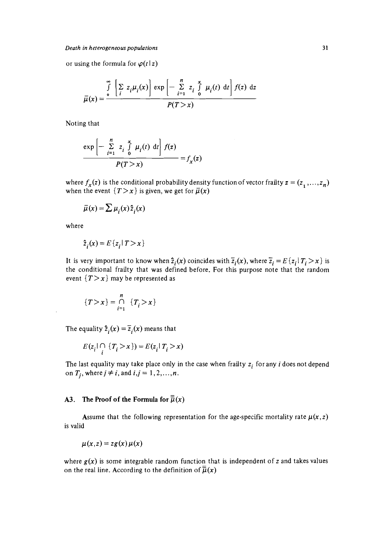or using the formula for  $\varphi(t \mid z)$ 

$$
\overline{\mu}(x) = \frac{\int_{0}^{\infty} \left[ \sum_{i} z_{i} \mu_{i}(x) \right] \exp \left[ - \sum_{i=1}^{n} z_{i} \int_{0}^{x} \mu_{i}(t) dt \right] f(z) dz}{P(T > x)}
$$

Noting that

$$
\frac{\exp\left[-\sum_{i=1}^{n} z_i \int_{0}^{x} \mu_i(t) \, \mathrm{d}t\right] f(z)}{P(T > x)} = f_x(z)
$$

where  $f_x(z)$  is the conditional probability density function of vector frailty  $z = (z_1, ..., z_n)$ when the event  $\{T > x\}$  is given, we get for  $\overline{\mu}(x)$ 

$$
\bar{\mu}(x) = \sum \mu_i(x) \hat{z}_i(x)
$$

where

$$
\hat{z}_i(x) = E\{z_i \mid T > x\}
$$

It is very important to know when  $\hat{z}_i(x)$  coincides with  $\overline{z}_i(x)$ , where  $\overline{z}_i = E\{z_i | T_i > x\}$  is the conditional frailty that was defined before. For this purpose note that the random event  ${T > x}$  may be represented as

$$
\{T>x\} = \bigcap_{i=1}^n \{T_i > x\}
$$

The equality  $\hat{z}_i(x) = \overline{z}_i(x)$  means that

$$
E(z_i | \bigcap_i \{T_i > x\}) = E(z_i | T_i > x)
$$

The last equality may take place only in the case when frailty  $z_i$  for any  $i$  does not depend on  $T_i$ , where  $j \neq i$ , and  $i, j = 1, 2, ..., n$ .

## A3. The Proof of the Formula for  $\overline{\overline{\mu}}(x)$

Assume that the following representation for the age-specific mortality rate  $\mu(x, z)$ is valid

$$
\mu(x,z) = zg(x)\,\mu(x)
$$

where  $g(x)$  is some integrable random function that is independent of z and takes values on the real line. According to the definition of  $\overline{\overline{\mu}}(x)$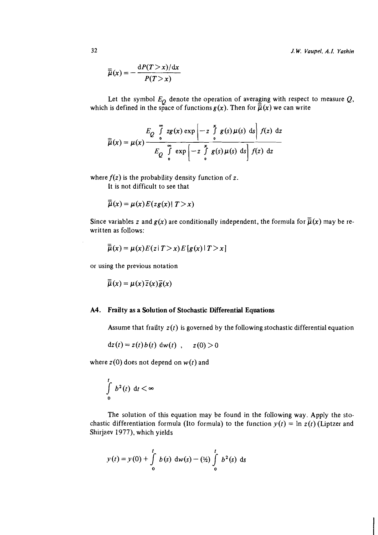*J.* **W.** *Vaupel, A.I. Yashin* 

$$
\overline{\overline{\mu}}(x) = -\frac{\mathrm{d}P(T > x)/\mathrm{d}x}{P(T > x)}
$$

Let the symbol  $E_{\boldsymbol{O}}$  denote the operation of averaging with respect to measure  $\boldsymbol{Q},$ which is defined in the space of functions  $g(x)$ . Then for  $\overline{\mu}(x)$  we can write

$$
\overline{\overline{\mu}}(x) = \mu(x) \frac{E_Q \int_0^{\infty} z g(x) \exp\left[-z \int_0^x g(s) \mu(s) \, ds\right] f(z) \, dz}{E_Q \int_0^{\infty} \exp\left[-z \int_0^x g(s) \mu(s) \, ds\right] f(z) \, dz}
$$

where  $f(z)$  is the probability density function of z.

It is not difficult to see that

$$
\bar{\mu}(x) = \mu(x) E(zg(x)) \mid T > x)
$$

Since variables z and  $g(x)$  are conditionally independent, the formula for  $\overline{\overline{\mu}}(x)$  may be rewritten as follows:

$$
\overline{\overline{\mu}}(x) = \mu(x) E(z | T > x) E[g(x) | T > x]
$$

or using the previous notation

$$
\overline{\overline{\mu}}(x) = \mu(x)\overline{z}(x)\overline{g}(x)
$$

### **A4. Frailty as a Solution of Stochastic Differential Equations**

Assume that frailty  $z(t)$  is governed by the following stochastic differential equation

$$
dz(t) = z(t) b(t) dw(t) , z(0) > 0
$$

where  $z(0)$  does not depend on  $w(t)$  and

$$
\int\limits_0^t\;b^2(t)\;\mathrm{d} t<\infty
$$

The solution of this equation may be found in the following way. Apply the stochastic differentiation formula (Ito formula) to the function  $y(t) = \ln z(t)$  (Liptzer and Shirjaev 1977), which yields

$$
y(t) = y(0) + \int_{0}^{t} b(s) dw(s) - \left(\frac{1}{2}\right) \int_{0}^{t} b^{2}(s) ds
$$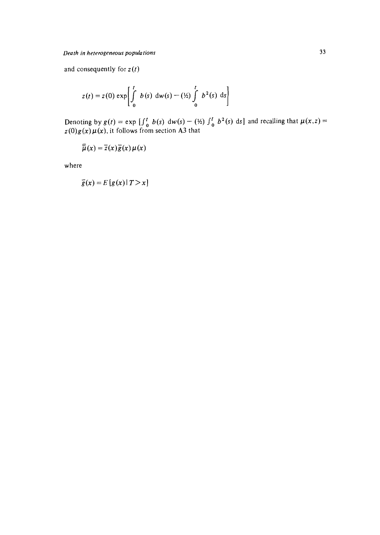and consequently for  $z(t)$ 

$$
z(t) = z(0) \exp \left[ \int_{0}^{t} b(s) \, dw(s) - (\frac{1}{2}) \int_{0}^{t} b^{2}(s) \, ds \right]
$$

**Denoting by**  $g(t) = \exp \left[\int_0^t b(s) \, dw(s) - (\frac{1}{2}) \int_0^t b^2(s) \, ds\right]$  **and recalling that**  $\mu(x, z) =$  $z(0)g(x)\mu(x)$ , it follows from section A3 that

$$
\overline{\overline{\mu}}(x) = \overline{z}(x)\overline{g}(x)\mu(x)
$$

**where** 

$$
\overline{g}(x) = E[g(x) | T > x]
$$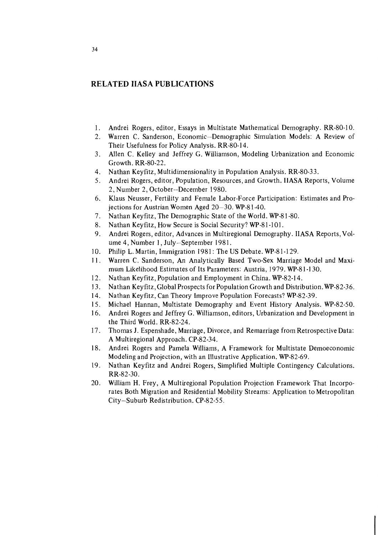## **RELATED IIASA PUBLICATIONS**

- Andrei Rogers, editor, Essays in Multistate Mathematical Demography. RR-80-10.  $1.$
- Warren C. Sanderson, Economic-Demographic Simulation Models: A Review of Their Usefulness for Policy Analysis. RR-80-14.
- Allen C. Kelley and Jeffrey G. Williamson, Modeling Urbanization and Economic  $3.$ Growth. RR-80-22.
- Nathan Keyfitz, Multidimensionality in Population Analysis. RR-80-33.
- $5<sub>1</sub>$ Andrei Rogers, editor, Population, Resources, and Growth. IlASA Reports, Volume 2, Number 2, October-December 1980.
- Klaus Neusser, Fertility and Female Labor-Force Participation: Estimates and Pro-6. jections for Austrian Women Aged 20-30. WP-81-40.
- $7.$ Nathan Keyfitz, The Demographic State of the World. WP-8 1-80.
- 8. Nathan Keyfitz, How Secure is Social Security? WP-81-101.
- 9. Andrei Rogers, editor, Advances in Multiregional Demography. IIASA Reports, Volume 4, Number 1, July-September 1981.
- Philip L. Martin, Immigration 1981: The US Debate. WP-81-129.  $10.$
- $11.$ Warren C. Sanderson, An Analytically Based Two-Sex Marriage Model and Maximum Likelihood Estimates of Its Parameters: Austria, 1979. WP-81-130.
- $12.$ Nathan Keyfitz, Population and Employment in China. WP-82-14.
- Nathan Keyfitz, Global Prospects for Population Growth and Distribution. WP-82-36.  $13.$
- $14.$ Nathan Keyfitz, Can Theory Improve Population Forecasts? WP-82-39.
- $15.$ Michael Hannan, Multistate Demography and Event History Analysis. WP-82-50.
- $16.$ Andrei Rogers and Jeffrey G. Williamson, editors, Urbanization and Development in the Third World. RR-82-24.
- 17. Thomas J. Espenshade, Marriage, Divorce, and Remarriage from Retrospective Data: A Multiregional Approach. CP-82-34.
- Andrei Rogers and Pamela Williams, A Framework for Multistate Demoeconomic 18. Modeling and Projection, with an Illustrative Application. WP-82-69.
- $19.$ Nathan Keyfitz and Andrei Rogers, Simplified Multiple Contingency Calculations. RR-82-30.
- William H. Frey, A Multiregional Population Projection Framework That Incorpo-20. rates Both Migration and Residential Mobility Streams: Application to Metropolitan City-Suburb Redistribution. CP-82-55.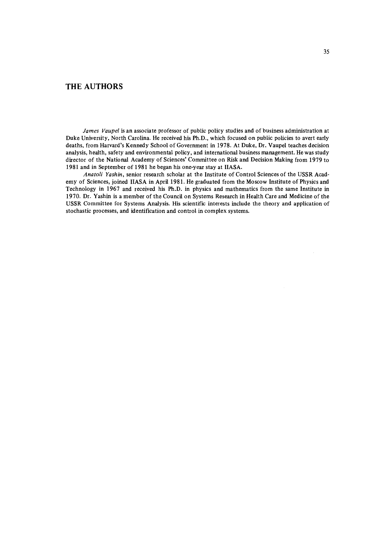## **THE AUTHORS**

*James Vaupel* is an associate professor of public policy studies and of business administration at Duke University, North Carolina. He received his Ph.D., which focused on public policies to avert early deaths, from Harvard's Kennedy School of Government in **1978.** At Duke, Dr. Vaupel teaches decision analysis, health, safety and environmental policy, and international business management. He was study director of the National Academy of Sciences' Committee on Risk and Decision Making from **1979** to **1981** and in September of **1981** he began his one-year stay at IIASA.

*Anatoli Yashin,* senior research scholar at the Institute of Control Sciences of the USSR Academy of Sciences, joined IIASA in April **1981.** He graduated from the Moscow Institute of Physics and Technology in **1967** and received his W.D. in physics and mathematics from the same Institute in **1970.** Dr. Yashin is a member of the Council on Systems Research in Health Care and Medicine of the USSR Committee for Systems Analysis. His scientific interests include the theory and application of stochastic processes, and identification and control in complex systems.